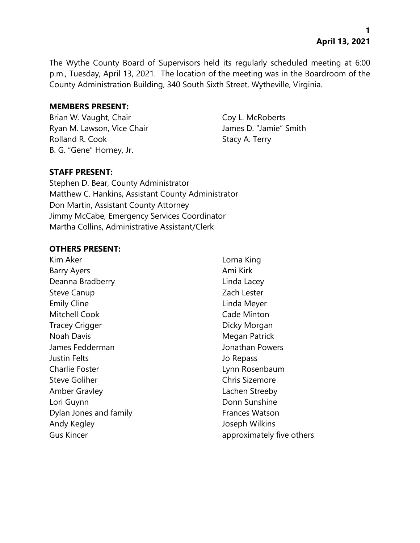The Wythe County Board of Supervisors held its regularly scheduled meeting at 6:00 p.m., Tuesday, April 13, 2021. The location of the meeting was in the Boardroom of the County Administration Building, 340 South Sixth Street, Wytheville, Virginia.

#### **MEMBERS PRESENT:**

Brian W. Vaught, Chair Coy L. McRoberts Ryan M. Lawson, Vice Chair **James D. "Jamie"** Smith Rolland R. Cook Stacy A. Terry B. G. "Gene" Horney, Jr.

# **STAFF PRESENT:**

Stephen D. Bear, County Administrator Matthew C. Hankins, Assistant County Administrator Don Martin, Assistant County Attorney Jimmy McCabe, Emergency Services Coordinator Martha Collins, Administrative Assistant/Clerk

#### **OTHERS PRESENT:**

Kim Aker **Lorna King** Barry Ayers **Ami Kirk Barry Ayers** Ami Kirk Deanna Bradberry **Linda Lacey** Steve Canup **Zach Lester Zach Lester** Emily Cline **Linda Meyer** Mitchell Cook **Cade Minton** Tracey Crigger **Dicky Morgan** Noah Davis **Megan Patrick** James Fedderman Jonathan Powers Justin Felts Jo Repass Charlie Foster **Lynn Rosenbaum** Steve Goliher Chris Sizemore Amber Gravley **Lachen Streeby** Lori Guynn **Donn Sunshine** Dylan Jones and family Frances Watson Andy Kegley Joseph Wilkins Gus Kincer **approximately five others**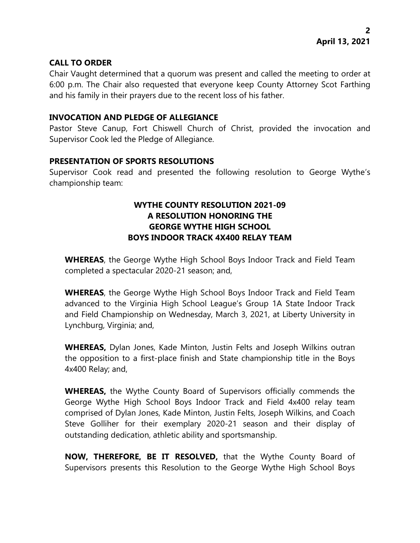### **CALL TO ORDER**

Chair Vaught determined that a quorum was present and called the meeting to order at 6:00 p.m. The Chair also requested that everyone keep County Attorney Scot Farthing and his family in their prayers due to the recent loss of his father.

### **INVOCATION AND PLEDGE OF ALLEGIANCE**

Pastor Steve Canup, Fort Chiswell Church of Christ, provided the invocation and Supervisor Cook led the Pledge of Allegiance.

#### **PRESENTATION OF SPORTS RESOLUTIONS**

Supervisor Cook read and presented the following resolution to George Wythe's championship team:

# **WYTHE COUNTY RESOLUTION 2021-09 A RESOLUTION HONORING THE GEORGE WYTHE HIGH SCHOOL BOYS INDOOR TRACK 4X400 RELAY TEAM**

**WHEREAS**, the George Wythe High School Boys Indoor Track and Field Team completed a spectacular 2020-21 season; and,

**WHEREAS**, the George Wythe High School Boys Indoor Track and Field Team advanced to the Virginia High School League's Group 1A State Indoor Track and Field Championship on Wednesday, March 3, 2021, at Liberty University in Lynchburg, Virginia; and,

**WHEREAS,** Dylan Jones, Kade Minton, Justin Felts and Joseph Wilkins outran the opposition to a first-place finish and State championship title in the Boys 4x400 Relay; and,

**WHEREAS,** the Wythe County Board of Supervisors officially commends the George Wythe High School Boys Indoor Track and Field 4x400 relay team comprised of Dylan Jones, Kade Minton, Justin Felts, Joseph Wilkins, and Coach Steve Golliher for their exemplary 2020-21 season and their display of outstanding dedication, athletic ability and sportsmanship.

**NOW, THEREFORE, BE IT RESOLVED,** that the Wythe County Board of Supervisors presents this Resolution to the George Wythe High School Boys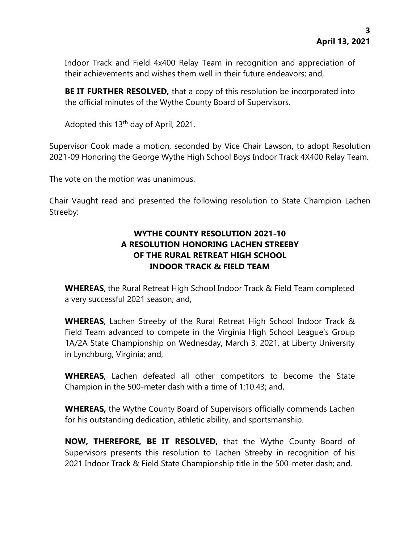Indoor Track and Field 4x400 Relay Team in recognition and appreciation of their achievements and wishes them well in their future endeavors; and,

**BE IT FURTHER RESOLVED,** that a copy of this resolution be incorporated into the official minutes of the Wythe County Board of Supervisors.

Adopted this 13th day of April, 2021.

Supervisor Cook made a motion, seconded by Vice Chair Lawson, to adopt Resolution 2021-09 Honoring the George Wythe High School Boys Indoor Track 4X400 Relay Team.

The vote on the motion was unanimous.

Chair Vaught read and presented the following resolution to State Champion Lachen Streeby:

# **WYTHE COUNTY RESOLUTION 2021-10 A RESOLUTION HONORING LACHEN STREEBY OF THE RURAL RETREAT HIGH SCHOOL INDOOR TRACK & FIELD TEAM**

**WHEREAS**, the Rural Retreat High School Indoor Track & Field Team completed a very successful 2021 season; and,

**WHEREAS**, Lachen Streeby of the Rural Retreat High School Indoor Track & Field Team advanced to compete in the Virginia High School League's Group 1A/2A State Championship on Wednesday, March 3, 2021, at Liberty University in Lynchburg, Virginia; and,

**WHEREAS**, Lachen defeated all other competitors to become the State Champion in the 500-meter dash with a time of 1:10.43; and,

**WHEREAS,** the Wythe County Board of Supervisors officially commends Lachen for his outstanding dedication, athletic ability, and sportsmanship.

**NOW, THEREFORE, BE IT RESOLVED,** that the Wythe County Board of Supervisors presents this resolution to Lachen Streeby in recognition of his 2021 Indoor Track & Field State Championship title in the 500-meter dash; and,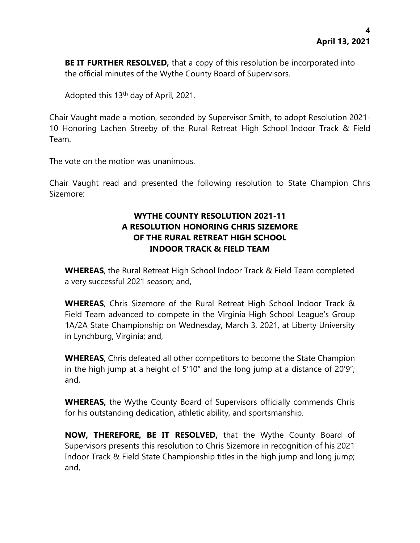**BE IT FURTHER RESOLVED,** that a copy of this resolution be incorporated into the official minutes of the Wythe County Board of Supervisors.

Adopted this 13th day of April, 2021.

Chair Vaught made a motion, seconded by Supervisor Smith, to adopt Resolution 2021- 10 Honoring Lachen Streeby of the Rural Retreat High School Indoor Track & Field Team.

The vote on the motion was unanimous.

Chair Vaught read and presented the following resolution to State Champion Chris Sizemore:

# **WYTHE COUNTY RESOLUTION 2021-11 A RESOLUTION HONORING CHRIS SIZEMORE OF THE RURAL RETREAT HIGH SCHOOL INDOOR TRACK & FIELD TEAM**

**WHEREAS**, the Rural Retreat High School Indoor Track & Field Team completed a very successful 2021 season; and,

**WHEREAS**, Chris Sizemore of the Rural Retreat High School Indoor Track & Field Team advanced to compete in the Virginia High School League's Group 1A/2A State Championship on Wednesday, March 3, 2021, at Liberty University in Lynchburg, Virginia; and,

**WHEREAS**, Chris defeated all other competitors to become the State Champion in the high jump at a height of 5'10" and the long jump at a distance of 20'9"; and,

**WHEREAS,** the Wythe County Board of Supervisors officially commends Chris for his outstanding dedication, athletic ability, and sportsmanship.

**NOW, THEREFORE, BE IT RESOLVED,** that the Wythe County Board of Supervisors presents this resolution to Chris Sizemore in recognition of his 2021 Indoor Track & Field State Championship titles in the high jump and long jump; and,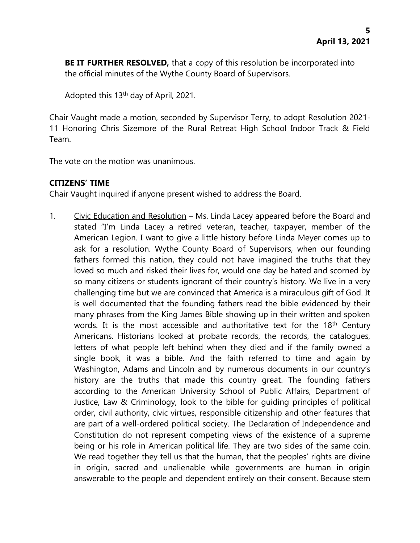**BE IT FURTHER RESOLVED,** that a copy of this resolution be incorporated into the official minutes of the Wythe County Board of Supervisors.

Adopted this 13th day of April, 2021.

Chair Vaught made a motion, seconded by Supervisor Terry, to adopt Resolution 2021- 11 Honoring Chris Sizemore of the Rural Retreat High School Indoor Track & Field Team.

The vote on the motion was unanimous.

# **CITIZENS' TIME**

Chair Vaught inquired if anyone present wished to address the Board.

1. Civic Education and Resolution – Ms. Linda Lacey appeared before the Board and stated "I'm Linda Lacey a retired veteran, teacher, taxpayer, member of the American Legion. I want to give a little history before Linda Meyer comes up to ask for a resolution. Wythe County Board of Supervisors, when our founding fathers formed this nation, they could not have imagined the truths that they loved so much and risked their lives for, would one day be hated and scorned by so many citizens or students ignorant of their country's history. We live in a very challenging time but we are convinced that America is a miraculous gift of God. It is well documented that the founding fathers read the bible evidenced by their many phrases from the King James Bible showing up in their written and spoken words. It is the most accessible and authoritative text for the  $18<sup>th</sup>$  Century Americans. Historians looked at probate records, the records, the catalogues, letters of what people left behind when they died and if the family owned a single book, it was a bible. And the faith referred to time and again by Washington, Adams and Lincoln and by numerous documents in our country's history are the truths that made this country great. The founding fathers according to the American University School of Public Affairs, Department of Justice, Law & Criminology, look to the bible for guiding principles of political order, civil authority, civic virtues, responsible citizenship and other features that are part of a well-ordered political society. The Declaration of Independence and Constitution do not represent competing views of the existence of a supreme being or his role in American political life. They are two sides of the same coin. We read together they tell us that the human, that the peoples' rights are divine in origin, sacred and unalienable while governments are human in origin answerable to the people and dependent entirely on their consent. Because stem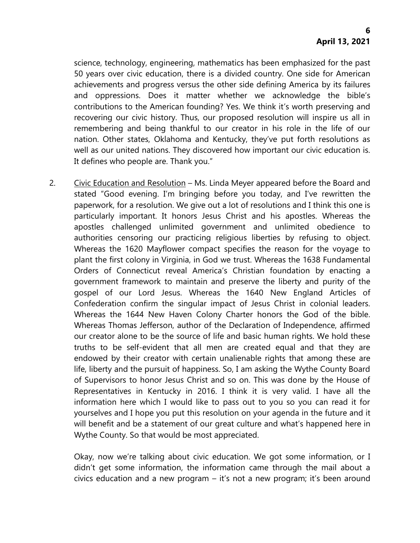science, technology, engineering, mathematics has been emphasized for the past 50 years over civic education, there is a divided country. One side for American achievements and progress versus the other side defining America by its failures and oppressions. Does it matter whether we acknowledge the bible's contributions to the American founding? Yes. We think it's worth preserving and recovering our civic history. Thus, our proposed resolution will inspire us all in remembering and being thankful to our creator in his role in the life of our nation. Other states, Oklahoma and Kentucky, they've put forth resolutions as well as our united nations. They discovered how important our civic education is. It defines who people are. Thank you."

2. Civic Education and Resolution – Ms. Linda Meyer appeared before the Board and stated "Good evening. I'm bringing before you today, and I've rewritten the paperwork, for a resolution. We give out a lot of resolutions and I think this one is particularly important. It honors Jesus Christ and his apostles. Whereas the apostles challenged unlimited government and unlimited obedience to authorities censoring our practicing religious liberties by refusing to object. Whereas the 1620 Mayflower compact specifies the reason for the voyage to plant the first colony in Virginia, in God we trust. Whereas the 1638 Fundamental Orders of Connecticut reveal America's Christian foundation by enacting a government framework to maintain and preserve the liberty and purity of the gospel of our Lord Jesus. Whereas the 1640 New England Articles of Confederation confirm the singular impact of Jesus Christ in colonial leaders. Whereas the 1644 New Haven Colony Charter honors the God of the bible. Whereas Thomas Jefferson, author of the Declaration of Independence, affirmed our creator alone to be the source of life and basic human rights. We hold these truths to be self-evident that all men are created equal and that they are endowed by their creator with certain unalienable rights that among these are life, liberty and the pursuit of happiness. So, I am asking the Wythe County Board of Supervisors to honor Jesus Christ and so on. This was done by the House of Representatives in Kentucky in 2016. I think it is very valid. I have all the information here which I would like to pass out to you so you can read it for yourselves and I hope you put this resolution on your agenda in the future and it will benefit and be a statement of our great culture and what's happened here in Wythe County. So that would be most appreciated.

Okay, now we're talking about civic education. We got some information, or I didn't get some information, the information came through the mail about a civics education and a new program – it's not a new program; it's been around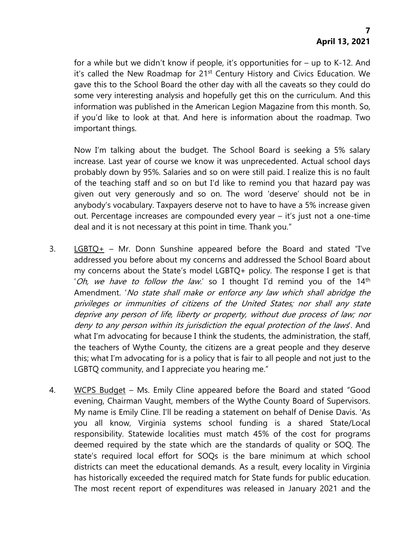for a while but we didn't know if people, it's opportunities for – up to K-12. And it's called the New Roadmap for 21<sup>st</sup> Century History and Civics Education. We gave this to the School Board the other day with all the caveats so they could do some very interesting analysis and hopefully get this on the curriculum. And this information was published in the American Legion Magazine from this month. So, if you'd like to look at that. And here is information about the roadmap. Two important things.

Now I'm talking about the budget. The School Board is seeking a 5% salary increase. Last year of course we know it was unprecedented. Actual school days probably down by 95%. Salaries and so on were still paid. I realize this is no fault of the teaching staff and so on but I'd like to remind you that hazard pay was given out very generously and so on. The word 'deserve' should not be in anybody's vocabulary. Taxpayers deserve not to have to have a 5% increase given out. Percentage increases are compounded every year – it's just not a one-time deal and it is not necessary at this point in time. Thank you."

- 3. LGBTQ+ Mr. Donn Sunshine appeared before the Board and stated "I've addressed you before about my concerns and addressed the School Board about my concerns about the State's model LGBTQ+ policy. The response I get is that 'Oh, we have to follow the law.' so I thought I'd remind you of the 14th Amendment. 'No state shall make or enforce any law which shall abridge the privileges or immunities of citizens of the United States; nor shall any state deprive any person of life, liberty or property, without due process of law; nor deny to any person within its jurisdiction the equal protection of the laws'. And what I'm advocating for because I think the students, the administration, the staff, the teachers of Wythe County, the citizens are a great people and they deserve this; what I'm advocating for is a policy that is fair to all people and not just to the LGBTQ community, and I appreciate you hearing me."
- 4. WCPS Budget Ms. Emily Cline appeared before the Board and stated "Good evening, Chairman Vaught, members of the Wythe County Board of Supervisors. My name is Emily Cline. I'll be reading a statement on behalf of Denise Davis. 'As you all know, Virginia systems school funding is a shared State/Local responsibility. Statewide localities must match 45% of the cost for programs deemed required by the state which are the standards of quality or SOQ. The state's required local effort for SOQs is the bare minimum at which school districts can meet the educational demands. As a result, every locality in Virginia has historically exceeded the required match for State funds for public education. The most recent report of expenditures was released in January 2021 and the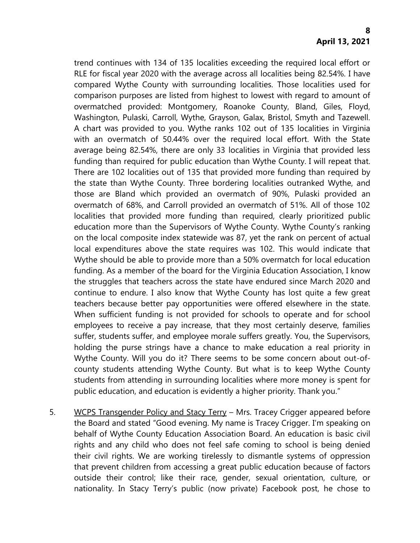trend continues with 134 of 135 localities exceeding the required local effort or RLE for fiscal year 2020 with the average across all localities being 82.54%. I have compared Wythe County with surrounding localities. Those localities used for comparison purposes are listed from highest to lowest with regard to amount of overmatched provided: Montgomery, Roanoke County, Bland, Giles, Floyd, Washington, Pulaski, Carroll, Wythe, Grayson, Galax, Bristol, Smyth and Tazewell. A chart was provided to you. Wythe ranks 102 out of 135 localities in Virginia with an overmatch of 50.44% over the required local effort. With the State average being 82.54%, there are only 33 localities in Virginia that provided less funding than required for public education than Wythe County. I will repeat that. There are 102 localities out of 135 that provided more funding than required by the state than Wythe County. Three bordering localities outranked Wythe, and those are Bland which provided an overmatch of 90%, Pulaski provided an overmatch of 68%, and Carroll provided an overmatch of 51%. All of those 102 localities that provided more funding than required, clearly prioritized public education more than the Supervisors of Wythe County. Wythe County's ranking on the local composite index statewide was 87, yet the rank on percent of actual local expenditures above the state requires was 102. This would indicate that Wythe should be able to provide more than a 50% overmatch for local education funding. As a member of the board for the Virginia Education Association, I know the struggles that teachers across the state have endured since March 2020 and continue to endure. I also know that Wythe County has lost quite a few great teachers because better pay opportunities were offered elsewhere in the state. When sufficient funding is not provided for schools to operate and for school employees to receive a pay increase, that they most certainly deserve, families suffer, students suffer, and employee morale suffers greatly. You, the Supervisors, holding the purse strings have a chance to make education a real priority in Wythe County. Will you do it? There seems to be some concern about out-ofcounty students attending Wythe County. But what is to keep Wythe County students from attending in surrounding localities where more money is spent for public education, and education is evidently a higher priority. Thank you."

5. WCPS Transgender Policy and Stacy Terry – Mrs. Tracey Crigger appeared before the Board and stated "Good evening. My name is Tracey Crigger. I'm speaking on behalf of Wythe County Education Association Board. An education is basic civil rights and any child who does not feel safe coming to school is being denied their civil rights. We are working tirelessly to dismantle systems of oppression that prevent children from accessing a great public education because of factors outside their control; like their race, gender, sexual orientation, culture, or nationality. In Stacy Terry's public (now private) Facebook post, he chose to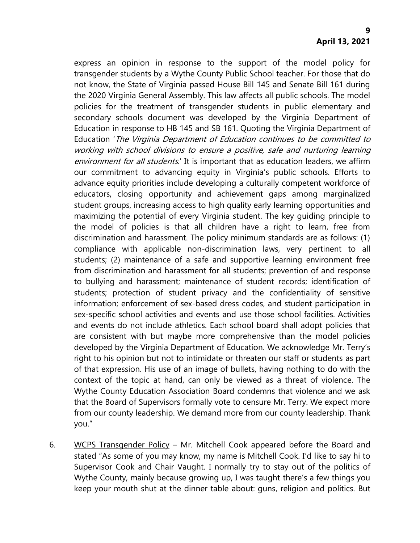express an opinion in response to the support of the model policy for transgender students by a Wythe County Public School teacher. For those that do not know, the State of Virginia passed House Bill 145 and Senate Bill 161 during the 2020 Virginia General Assembly. This law affects all public schools. The model policies for the treatment of transgender students in public elementary and secondary schools document was developed by the Virginia Department of Education in response to HB 145 and SB 161. Quoting the Virginia Department of Education 'The Virginia Department of Education continues to be committed to working with school divisions to ensure a positive, safe and nurturing learning environment for all students.' It is important that as education leaders, we affirm our commitment to advancing equity in Virginia's public schools. Efforts to advance equity priorities include developing a culturally competent workforce of educators, closing opportunity and achievement gaps among marginalized student groups, increasing access to high quality early learning opportunities and maximizing the potential of every Virginia student. The key guiding principle to the model of policies is that all children have a right to learn, free from discrimination and harassment. The policy minimum standards are as follows: (1) compliance with applicable non-discrimination laws, very pertinent to all students; (2) maintenance of a safe and supportive learning environment free from discrimination and harassment for all students; prevention of and response to bullying and harassment; maintenance of student records; identification of students; protection of student privacy and the confidentiality of sensitive information; enforcement of sex-based dress codes, and student participation in sex-specific school activities and events and use those school facilities. Activities and events do not include athletics. Each school board shall adopt policies that are consistent with but maybe more comprehensive than the model policies developed by the Virginia Department of Education. We acknowledge Mr. Terry's right to his opinion but not to intimidate or threaten our staff or students as part of that expression. His use of an image of bullets, having nothing to do with the context of the topic at hand, can only be viewed as a threat of violence. The Wythe County Education Association Board condemns that violence and we ask that the Board of Supervisors formally vote to censure Mr. Terry. We expect more from our county leadership. We demand more from our county leadership. Thank you."

6. WCPS Transgender Policy – Mr. Mitchell Cook appeared before the Board and stated "As some of you may know, my name is Mitchell Cook. I'd like to say hi to Supervisor Cook and Chair Vaught. I normally try to stay out of the politics of Wythe County, mainly because growing up, I was taught there's a few things you keep your mouth shut at the dinner table about: guns, religion and politics. But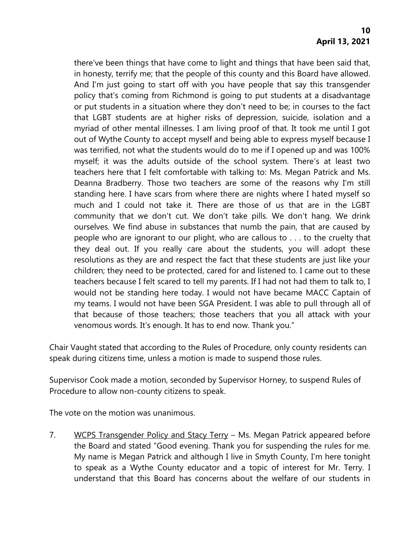there've been things that have come to light and things that have been said that, in honesty, terrify me; that the people of this county and this Board have allowed. And I'm just going to start off with you have people that say this transgender policy that's coming from Richmond is going to put students at a disadvantage or put students in a situation where they don't need to be; in courses to the fact that LGBT students are at higher risks of depression, suicide, isolation and a myriad of other mental illnesses. I am living proof of that. It took me until I got out of Wythe County to accept myself and being able to express myself because I was terrified, not what the students would do to me if I opened up and was 100% myself; it was the adults outside of the school system. There's at least two teachers here that I felt comfortable with talking to: Ms. Megan Patrick and Ms. Deanna Bradberry. Those two teachers are some of the reasons why I'm still standing here. I have scars from where there are nights where I hated myself so much and I could not take it. There are those of us that are in the LGBT community that we don't cut. We don't take pills. We don't hang. We drink ourselves. We find abuse in substances that numb the pain, that are caused by people who are ignorant to our plight, who are callous to . . . to the cruelty that they deal out. If you really care about the students, you will adopt these resolutions as they are and respect the fact that these students are just like your children; they need to be protected, cared for and listened to. I came out to these teachers because I felt scared to tell my parents. If I had not had them to talk to, I would not be standing here today. I would not have became MACC Captain of my teams. I would not have been SGA President. I was able to pull through all of that because of those teachers; those teachers that you all attack with your venomous words. It's enough. It has to end now. Thank you."

Chair Vaught stated that according to the Rules of Procedure, only county residents can speak during citizens time, unless a motion is made to suspend those rules.

Supervisor Cook made a motion, seconded by Supervisor Horney, to suspend Rules of Procedure to allow non-county citizens to speak.

The vote on the motion was unanimous.

7. WCPS Transgender Policy and Stacy Terry – Ms. Megan Patrick appeared before the Board and stated "Good evening. Thank you for suspending the rules for me. My name is Megan Patrick and although I live in Smyth County, I'm here tonight to speak as a Wythe County educator and a topic of interest for Mr. Terry. I understand that this Board has concerns about the welfare of our students in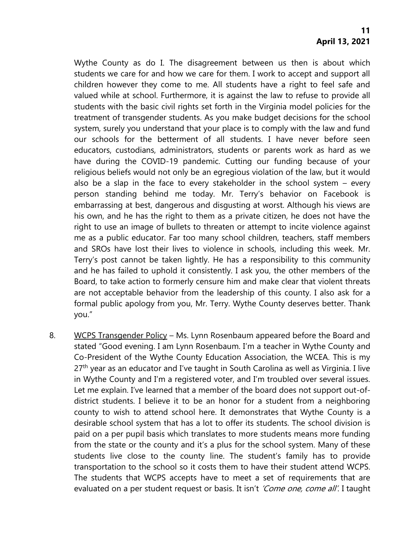Wythe County as do I. The disagreement between us then is about which students we care for and how we care for them. I work to accept and support all children however they come to me. All students have a right to feel safe and valued while at school. Furthermore, it is against the law to refuse to provide all students with the basic civil rights set forth in the Virginia model policies for the treatment of transgender students. As you make budget decisions for the school system, surely you understand that your place is to comply with the law and fund our schools for the betterment of all students. I have never before seen educators, custodians, administrators, students or parents work as hard as we have during the COVID-19 pandemic. Cutting our funding because of your religious beliefs would not only be an egregious violation of the law, but it would also be a slap in the face to every stakeholder in the school system – every person standing behind me today. Mr. Terry's behavior on Facebook is embarrassing at best, dangerous and disgusting at worst. Although his views are his own, and he has the right to them as a private citizen, he does not have the right to use an image of bullets to threaten or attempt to incite violence against me as a public educator. Far too many school children, teachers, staff members and SROs have lost their lives to violence in schools, including this week. Mr. Terry's post cannot be taken lightly. He has a responsibility to this community and he has failed to uphold it consistently. I ask you, the other members of the Board, to take action to formerly censure him and make clear that violent threats are not acceptable behavior from the leadership of this county. I also ask for a formal public apology from you, Mr. Terry. Wythe County deserves better. Thank you."

8. WCPS Transgender Policy – Ms. Lynn Rosenbaum appeared before the Board and stated "Good evening. I am Lynn Rosenbaum. I'm a teacher in Wythe County and Co-President of the Wythe County Education Association, the WCEA. This is my  $27<sup>th</sup>$  year as an educator and I've taught in South Carolina as well as Virginia. I live in Wythe County and I'm a registered voter, and I'm troubled over several issues. Let me explain. I've learned that a member of the board does not support out-ofdistrict students. I believe it to be an honor for a student from a neighboring county to wish to attend school here. It demonstrates that Wythe County is a desirable school system that has a lot to offer its students. The school division is paid on a per pupil basis which translates to more students means more funding from the state or the county and it's a plus for the school system. Many of these students live close to the county line. The student's family has to provide transportation to the school so it costs them to have their student attend WCPS. The students that WCPS accepts have to meet a set of requirements that are evaluated on a per student request or basis. It isn't 'Come one, come all'. I taught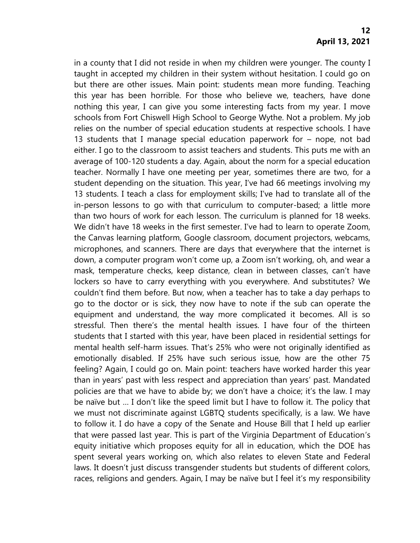in a county that I did not reside in when my children were younger. The county I taught in accepted my children in their system without hesitation. I could go on but there are other issues. Main point: students mean more funding. Teaching this year has been horrible. For those who believe we, teachers, have done nothing this year, I can give you some interesting facts from my year. I move schools from Fort Chiswell High School to George Wythe. Not a problem. My job relies on the number of special education students at respective schools. I have 13 students that I manage special education paperwork for – nope, not bad either. I go to the classroom to assist teachers and students. This puts me with an average of 100-120 students a day. Again, about the norm for a special education teacher. Normally I have one meeting per year, sometimes there are two, for a student depending on the situation. This year, I've had 66 meetings involving my 13 students. I teach a class for employment skills; I've had to translate all of the in-person lessons to go with that curriculum to computer-based; a little more than two hours of work for each lesson. The curriculum is planned for 18 weeks. We didn't have 18 weeks in the first semester. I've had to learn to operate Zoom, the Canvas learning platform, Google classroom, document projectors, webcams, microphones, and scanners. There are days that everywhere that the internet is down, a computer program won't come up, a Zoom isn't working, oh, and wear a mask, temperature checks, keep distance, clean in between classes, can't have lockers so have to carry everything with you everywhere. And substitutes? We couldn't find them before. But now, when a teacher has to take a day perhaps to go to the doctor or is sick, they now have to note if the sub can operate the equipment and understand, the way more complicated it becomes. All is so stressful. Then there's the mental health issues. I have four of the thirteen students that I started with this year, have been placed in residential settings for mental health self-harm issues. That's 25% who were not originally identified as emotionally disabled. If 25% have such serious issue, how are the other 75 feeling? Again, I could go on. Main point: teachers have worked harder this year than in years' past with less respect and appreciation than years' past. Mandated policies are that we have to abide by; we don't have a choice; it's the law. I may be naïve but … I don't like the speed limit but I have to follow it. The policy that we must not discriminate against LGBTQ students specifically, is a law. We have to follow it. I do have a copy of the Senate and House Bill that I held up earlier that were passed last year. This is part of the Virginia Department of Education's equity initiative which proposes equity for all in education, which the DOE has spent several years working on, which also relates to eleven State and Federal laws. It doesn't just discuss transgender students but students of different colors, races, religions and genders. Again, I may be naïve but I feel it's my responsibility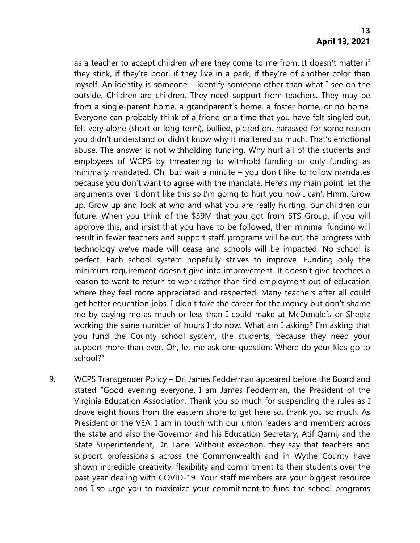as a teacher to accept children where they come to me from. It doesn't matter if they stink, if they're poor, if they live in a park, if they're of another color than myself. An identity is someone – identify someone other than what I see on the outside. Children are children. They need support from teachers. They may be from a single-parent home, a grandparent's home, a foster home, or no home. Everyone can probably think of a friend or a time that you have felt singled out, felt very alone (short or long term), bullied, picked on, harassed for some reason you didn't understand or didn't know why it mattered so much. That's emotional abuse. The answer is not withholding funding. Why hurt all of the students and employees of WCPS by threatening to withhold funding or only funding as minimally mandated. Oh, but wait a minute – you don't like to follow mandates because you don't want to agree with the mandate. Here's my main point: let the arguments over 'I don't like this so I'm going to hurt you how I can'. Hmm. Grow up. Grow up and look at who and what you are really hurting, our children our future. When you think of the \$39M that you got from STS Group, if you will approve this, and insist that you have to be followed, then minimal funding will result in fewer teachers and support staff, programs will be cut, the progress with technology we've made will cease and schools will be impacted. No school is perfect. Each school system hopefully strives to improve. Funding only the minimum requirement doesn't give into improvement. It doesn't give teachers a reason to want to return to work rather than find employment out of education where they feel more appreciated and respected. Many teachers after all could get better education jobs. I didn't take the career for the money but don't shame me by paying me as much or less than I could make at McDonald's or Sheetz working the same number of hours I do now. What am I asking? I'm asking that you fund the County school system, the students, because they need your support more than ever. Oh, let me ask one question: Where do your kids go to school?"

9. WCPS Transgender Policy – Dr. James Fedderman appeared before the Board and stated "Good evening everyone. I am James Fedderman, the President of the Virginia Education Association. Thank you so much for suspending the rules as I drove eight hours from the eastern shore to get here so, thank you so much. As President of the VEA, I am in touch with our union leaders and members across the state and also the Governor and his Education Secretary, Atif Qarni, and the State Superintendent, Dr. Lane. Without exception, they say that teachers and support professionals across the Commonwealth and in Wythe County have shown incredible creativity, flexibility and commitment to their students over the past year dealing with COVID-19. Your staff members are your biggest resource and I so urge you to maximize your commitment to fund the school programs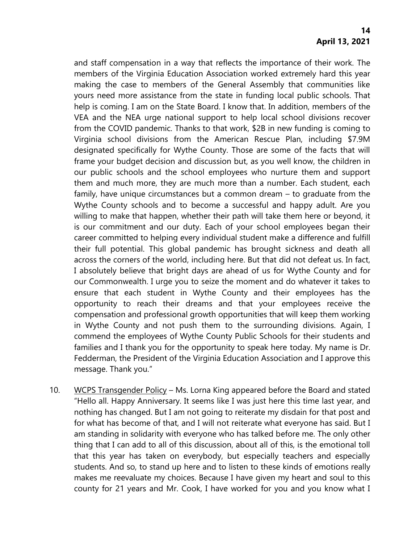and staff compensation in a way that reflects the importance of their work. The members of the Virginia Education Association worked extremely hard this year making the case to members of the General Assembly that communities like yours need more assistance from the state in funding local public schools. That help is coming. I am on the State Board. I know that. In addition, members of the VEA and the NEA urge national support to help local school divisions recover from the COVID pandemic. Thanks to that work, \$2B in new funding is coming to Virginia school divisions from the American Rescue Plan, including \$7.9M designated specifically for Wythe County. Those are some of the facts that will frame your budget decision and discussion but, as you well know, the children in our public schools and the school employees who nurture them and support them and much more, they are much more than a number. Each student, each family, have unique circumstances but a common dream – to graduate from the Wythe County schools and to become a successful and happy adult. Are you willing to make that happen, whether their path will take them here or beyond, it is our commitment and our duty. Each of your school employees began their career committed to helping every individual student make a difference and fulfill their full potential. This global pandemic has brought sickness and death all across the corners of the world, including here. But that did not defeat us. In fact, I absolutely believe that bright days are ahead of us for Wythe County and for our Commonwealth. I urge you to seize the moment and do whatever it takes to ensure that each student in Wythe County and their employees has the opportunity to reach their dreams and that your employees receive the compensation and professional growth opportunities that will keep them working in Wythe County and not push them to the surrounding divisions. Again, I commend the employees of Wythe County Public Schools for their students and families and I thank you for the opportunity to speak here today. My name is Dr. Fedderman, the President of the Virginia Education Association and I approve this message. Thank you."

10. WCPS Transgender Policy – Ms. Lorna King appeared before the Board and stated "Hello all. Happy Anniversary. It seems like I was just here this time last year, and nothing has changed. But I am not going to reiterate my disdain for that post and for what has become of that, and I will not reiterate what everyone has said. But I am standing in solidarity with everyone who has talked before me. The only other thing that I can add to all of this discussion, about all of this, is the emotional toll that this year has taken on everybody, but especially teachers and especially students. And so, to stand up here and to listen to these kinds of emotions really makes me reevaluate my choices. Because I have given my heart and soul to this county for 21 years and Mr. Cook, I have worked for you and you know what I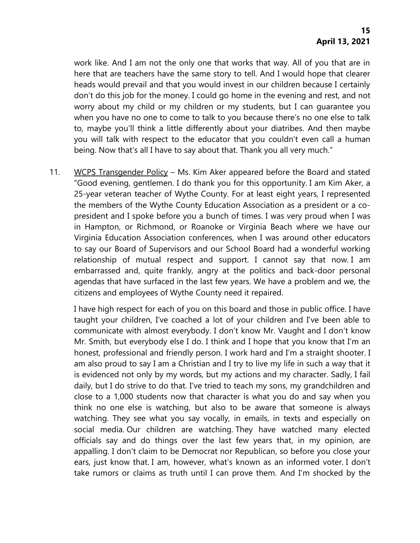work like. And I am not the only one that works that way. All of you that are in here that are teachers have the same story to tell. And I would hope that clearer heads would prevail and that you would invest in our children because I certainly don't do this job for the money. I could go home in the evening and rest, and not worry about my child or my children or my students, but I can guarantee you when you have no one to come to talk to you because there's no one else to talk to, maybe you'll think a little differently about your diatribes. And then maybe you will talk with respect to the educator that you couldn't even call a human being. Now that's all I have to say about that. Thank you all very much."

11. WCPS Transgender Policy – Ms. Kim Aker appeared before the Board and stated "Good evening, gentlemen. I do thank you for this opportunity. I am Kim Aker, a 25-year veteran teacher of Wythe County. For at least eight years, I represented the members of the Wythe County Education Association as a president or a copresident and I spoke before you a bunch of times. I was very proud when I was in Hampton, or Richmond, or Roanoke or Virginia Beach where we have our Virginia Education Association conferences, when I was around other educators to say our Board of Supervisors and our School Board had a wonderful working relationship of mutual respect and support. I cannot say that now. I am embarrassed and, quite frankly, angry at the politics and back-door personal agendas that have surfaced in the last few years. We have a problem and we, the citizens and employees of Wythe County need it repaired.

I have high respect for each of you on this board and those in public office. I have taught your children, I've coached a lot of your children and I've been able to communicate with almost everybody. I don't know Mr. Vaught and I don't know Mr. Smith, but everybody else I do. I think and I hope that you know that I'm an honest, professional and friendly person. I work hard and I'm a straight shooter. I am also proud to say I am a Christian and I try to live my life in such a way that it is evidenced not only by my words, but my actions and my character. Sadly, I fail daily, but I do strive to do that. I've tried to teach my sons, my grandchildren and close to a 1,000 students now that character is what you do and say when you think no one else is watching, but also to be aware that someone is always watching. They see what you say vocally, in emails, in texts and especially on social media. Our children are watching. They have watched many elected officials say and do things over the last few years that, in my opinion, are appalling. I don't claim to be Democrat nor Republican, so before you close your ears, just know that. I am, however, what's known as an informed voter. I don't take rumors or claims as truth until I can prove them. And I'm shocked by the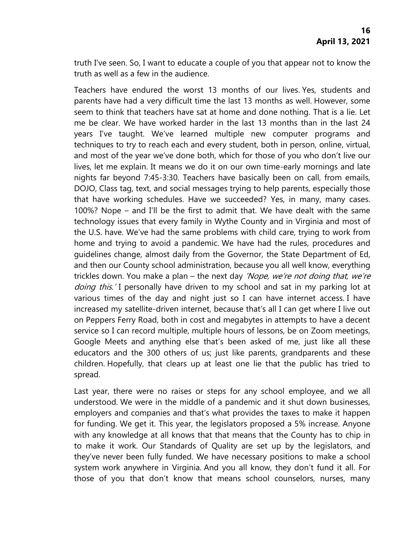truth I've seen. So, I want to educate a couple of you that appear not to know the truth as well as a few in the audience.

Teachers have endured the worst 13 months of our lives. Yes, students and parents have had a very difficult time the last 13 months as well. However, some seem to think that teachers have sat at home and done nothing. That is a lie. Let me be clear. We have worked harder in the last 13 months than in the last 24 years I've taught. We've learned multiple new computer programs and techniques to try to reach each and every student, both in person, online, virtual, and most of the year we've done both, which for those of you who don't live our lives, let me explain. It means we do it on our own time-early mornings and late nights far beyond 7:45-3:30. Teachers have basically been on call, from emails, DOJO, Class tag, text, and social messages trying to help parents, especially those that have working schedules. Have we succeeded? Yes, in many, many cases. 100%? Nope – and I'll be the first to admit that. We have dealt with the same technology issues that every family in Wythe County and in Virginia and most of the U.S. have. We've had the same problems with child care, trying to work from home and trying to avoid a pandemic. We have had the rules, procedures and guidelines change, almost daily from the Governor, the State Department of Ed, and then our County school administration, because you all well know, everything trickles down. You make a plan – the next day 'Nope, we're not doing that, we're doing this.' I personally have driven to my school and sat in my parking lot at various times of the day and night just so I can have internet access. I have increased my satellite-driven internet, because that's all I can get where I live out on Peppers Ferry Road, both in cost and megabytes in attempts to have a decent service so I can record multiple, multiple hours of lessons, be on Zoom meetings, Google Meets and anything else that's been asked of me, just like all these educators and the 300 others of us; just like parents, grandparents and these children. Hopefully, that clears up at least one lie that the public has tried to spread.

Last year, there were no raises or steps for any school employee, and we all understood. We were in the middle of a pandemic and it shut down businesses, employers and companies and that's what provides the taxes to make it happen for funding. We get it. This year, the legislators proposed a 5% increase. Anyone with any knowledge at all knows that that means that the County has to chip in to make it work. Our Standards of Quality are set up by the legislators, and they've never been fully funded. We have necessary positions to make a school system work anywhere in Virginia. And you all know, they don't fund it all. For those of you that don't know that means school counselors, nurses, many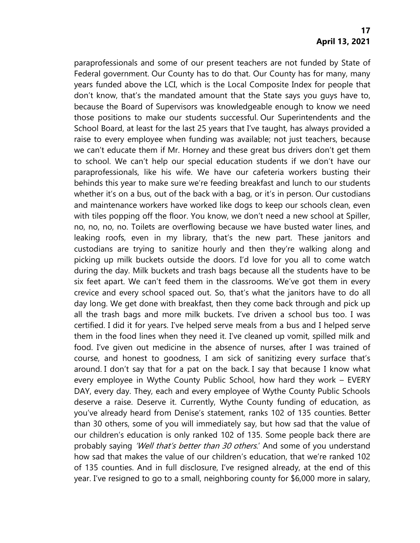paraprofessionals and some of our present teachers are not funded by State of Federal government. Our County has to do that. Our County has for many, many years funded above the LCI, which is the Local Composite Index for people that don't know, that's the mandated amount that the State says you guys have to, because the Board of Supervisors was knowledgeable enough to know we need those positions to make our students successful. Our Superintendents and the School Board, at least for the last 25 years that I've taught, has always provided a raise to every employee when funding was available; not just teachers, because we can't educate them if Mr. Horney and these great bus drivers don't get them to school. We can't help our special education students if we don't have our paraprofessionals, like his wife. We have our cafeteria workers busting their behinds this year to make sure we're feeding breakfast and lunch to our students whether it's on a bus, out of the back with a bag, or it's in person. Our custodians and maintenance workers have worked like dogs to keep our schools clean, even with tiles popping off the floor. You know, we don't need a new school at Spiller, no, no, no, no. Toilets are overflowing because we have busted water lines, and leaking roofs, even in my library, that's the new part. These janitors and custodians are trying to sanitize hourly and then they're walking along and picking up milk buckets outside the doors. I'd love for you all to come watch during the day. Milk buckets and trash bags because all the students have to be six feet apart. We can't feed them in the classrooms. We've got them in every crevice and every school spaced out. So, that's what the janitors have to do all day long. We get done with breakfast, then they come back through and pick up all the trash bags and more milk buckets. I've driven a school bus too. I was certified. I did it for years. I've helped serve meals from a bus and I helped serve them in the food lines when they need it. I've cleaned up vomit, spilled milk and food. I've given out medicine in the absence of nurses, after I was trained of course, and honest to goodness, I am sick of sanitizing every surface that's around. I don't say that for a pat on the back. I say that because I know what every employee in Wythe County Public School, how hard they work – EVERY DAY, every day. They, each and every employee of Wythe County Public Schools deserve a raise. Deserve it. Currently, Wythe County funding of education, as you've already heard from Denise's statement, ranks 102 of 135 counties. Better than 30 others, some of you will immediately say, but how sad that the value of our children's education is only ranked 102 of 135. Some people back there are probably saying 'Well that's better than 30 others.' And some of you understand how sad that makes the value of our children's education, that we're ranked 102 of 135 counties. And in full disclosure, I've resigned already, at the end of this year. I've resigned to go to a small, neighboring county for \$6,000 more in salary,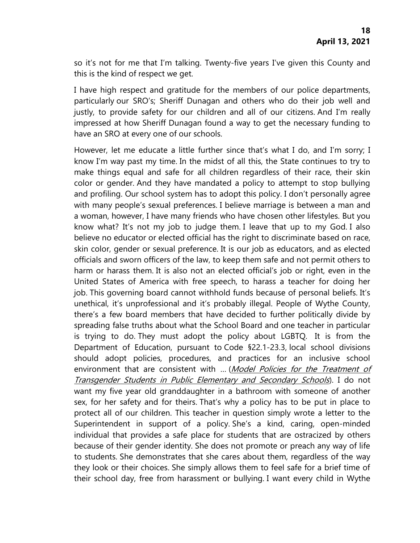so it's not for me that I'm talking. Twenty-five years I've given this County and this is the kind of respect we get.

I have high respect and gratitude for the members of our police departments, particularly our SRO's; Sheriff Dunagan and others who do their job well and justly, to provide safety for our children and all of our citizens. And I'm really impressed at how Sheriff Dunagan found a way to get the necessary funding to have an SRO at every one of our schools.

However, let me educate a little further since that's what I do, and I'm sorry; I know I'm way past my time. In the midst of all this, the State continues to try to make things equal and safe for all children regardless of their race, their skin color or gender. And they have mandated a policy to attempt to stop bullying and profiling. Our school system has to adopt this policy. I don't personally agree with many people's sexual preferences. I believe marriage is between a man and a woman, however, I have many friends who have chosen other lifestyles. But you know what? It's not my job to judge them. I leave that up to my God. I also believe no educator or elected official has the right to discriminate based on race, skin color, gender or sexual preference. It is our job as educators, and as elected officials and sworn officers of the law, to keep them safe and not permit others to harm or harass them. It is also not an elected official's job or right, even in the United States of America with free speech, to harass a teacher for doing her job. This governing board cannot withhold funds because of personal beliefs. It's unethical, it's unprofessional and it's probably illegal. People of Wythe County, there's a few board members that have decided to further politically divide by spreading false truths about what the School Board and one teacher in particular is trying to do. They must adopt the policy about LGBTQ. It is from the Department of Education, pursuant to Code §22.1-23.3, local school divisions should adopt policies, procedures, and practices for an inclusive school environment that are consistent with ... (Model Policies for the Treatment of [Transgender Students in Public Elementary and Secondary Schools](https://www.doe.virginia.gov/support/gender-diversity/transgender-student-model-policies.docx)). I do not want my five year old granddaughter in a bathroom with someone of another sex, for her safety and for theirs. That's why a policy has to be put in place to protect all of our children. This teacher in question simply wrote a letter to the Superintendent in support of a policy. She's a kind, caring, open-minded individual that provides a safe place for students that are ostracized by others because of their gender identity. She does not promote or preach any way of life to students. She demonstrates that she cares about them, regardless of the way they look or their choices. She simply allows them to feel safe for a brief time of their school day, free from harassment or bullying. I want every child in Wythe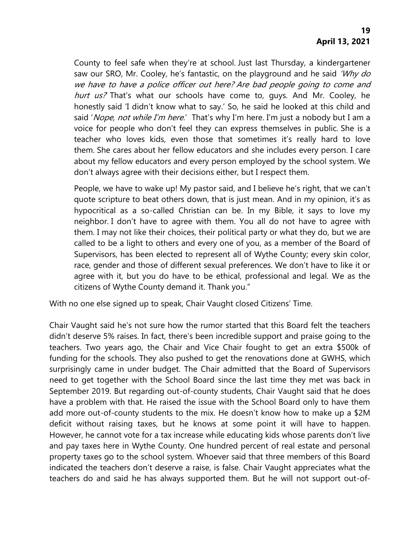County to feel safe when they're at school. Just last Thursday, a kindergartener saw our SRO, Mr. Cooley, he's fantastic, on the playground and he said 'Why do we have to have a police officer out here? Are bad people going to come and hurt us? That's what our schools have come to, guys. And Mr. Cooley, he honestly said 'I didn't know what to say.' So, he said he looked at this child and said 'Nope, not while I'm here.' That's why I'm here. I'm just a nobody but I am a voice for people who don't feel they can express themselves in public. She is a teacher who loves kids, even those that sometimes it's really hard to love them. She cares about her fellow educators and she includes every person. I care about my fellow educators and every person employed by the school system. We don't always agree with their decisions either, but I respect them.

People, we have to wake up! My pastor said, and I believe he's right, that we can't quote scripture to beat others down, that is just mean. And in my opinion, it's as hypocritical as a so-called Christian can be. In my Bible, it says to love my neighbor. I don't have to agree with them. You all do not have to agree with them. I may not like their choices, their political party or what they do, but we are called to be a light to others and every one of you, as a member of the Board of Supervisors, has been elected to represent all of Wythe County; every skin color, race, gender and those of different sexual preferences. We don't have to like it or agree with it, but you do have to be ethical, professional and legal. We as the citizens of Wythe County demand it. Thank you."

With no one else signed up to speak, Chair Vaught closed Citizens' Time.

Chair Vaught said he's not sure how the rumor started that this Board felt the teachers didn't deserve 5% raises. In fact, there's been incredible support and praise going to the teachers. Two years ago, the Chair and Vice Chair fought to get an extra \$500k of funding for the schools. They also pushed to get the renovations done at GWHS, which surprisingly came in under budget. The Chair admitted that the Board of Supervisors need to get together with the School Board since the last time they met was back in September 2019. But regarding out-of-county students, Chair Vaught said that he does have a problem with that. He raised the issue with the School Board only to have them add more out-of-county students to the mix. He doesn't know how to make up a \$2M deficit without raising taxes, but he knows at some point it will have to happen. However, he cannot vote for a tax increase while educating kids whose parents don't live and pay taxes here in Wythe County. One hundred percent of real estate and personal property taxes go to the school system. Whoever said that three members of this Board indicated the teachers don't deserve a raise, is false. Chair Vaught appreciates what the teachers do and said he has always supported them. But he will not support out-of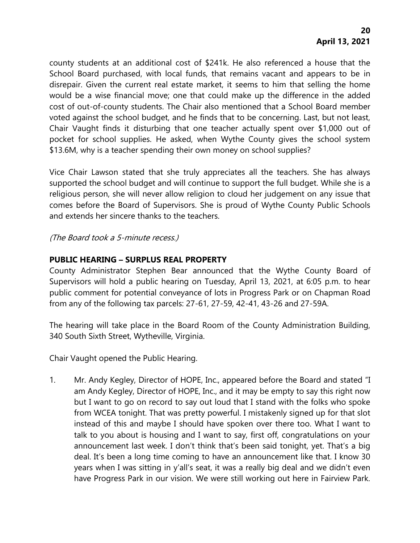county students at an additional cost of \$241k. He also referenced a house that the School Board purchased, with local funds, that remains vacant and appears to be in disrepair. Given the current real estate market, it seems to him that selling the home would be a wise financial move; one that could make up the difference in the added cost of out-of-county students. The Chair also mentioned that a School Board member voted against the school budget, and he finds that to be concerning. Last, but not least, Chair Vaught finds it disturbing that one teacher actually spent over \$1,000 out of pocket for school supplies. He asked, when Wythe County gives the school system \$13.6M, why is a teacher spending their own money on school supplies?

Vice Chair Lawson stated that she truly appreciates all the teachers. She has always supported the school budget and will continue to support the full budget. While she is a religious person, she will never allow religion to cloud her judgement on any issue that comes before the Board of Supervisors. She is proud of Wythe County Public Schools and extends her sincere thanks to the teachers.

(The Board took a 5-minute recess.)

# **PUBLIC HEARING – SURPLUS REAL PROPERTY**

County Administrator Stephen Bear announced that the Wythe County Board of Supervisors will hold a public hearing on Tuesday, April 13, 2021, at 6:05 p.m. to hear public comment for potential conveyance of lots in Progress Park or on Chapman Road from any of the following tax parcels: 27-61, 27-59, 42-41, 43-26 and 27-59A.

The hearing will take place in the Board Room of the County Administration Building, 340 South Sixth Street, Wytheville, Virginia.

Chair Vaught opened the Public Hearing.

1. Mr. Andy Kegley, Director of HOPE, Inc., appeared before the Board and stated "I am Andy Kegley, Director of HOPE, Inc., and it may be empty to say this right now but I want to go on record to say out loud that I stand with the folks who spoke from WCEA tonight. That was pretty powerful. I mistakenly signed up for that slot instead of this and maybe I should have spoken over there too. What I want to talk to you about is housing and I want to say, first off, congratulations on your announcement last week. I don't think that's been said tonight, yet. That's a big deal. It's been a long time coming to have an announcement like that. I know 30 years when I was sitting in y'all's seat, it was a really big deal and we didn't even have Progress Park in our vision. We were still working out here in Fairview Park.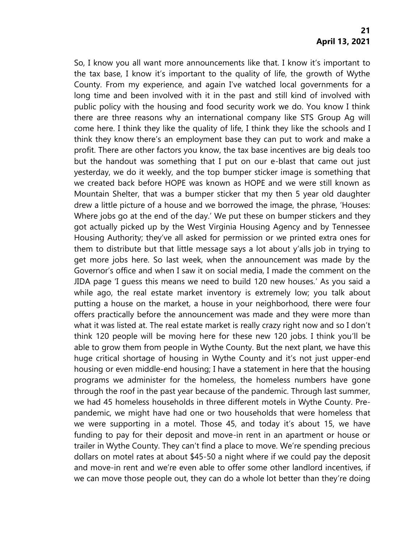So, I know you all want more announcements like that. I know it's important to the tax base, I know it's important to the quality of life, the growth of Wythe County. From my experience, and again I've watched local governments for a long time and been involved with it in the past and still kind of involved with public policy with the housing and food security work we do. You know I think there are three reasons why an international company like STS Group Ag will come here. I think they like the quality of life, I think they like the schools and I think they know there's an employment base they can put to work and make a profit. There are other factors you know, the tax base incentives are big deals too but the handout was something that I put on our e-blast that came out just yesterday, we do it weekly, and the top bumper sticker image is something that we created back before HOPE was known as HOPE and we were still known as Mountain Shelter, that was a bumper sticker that my then 5 year old daughter drew a little picture of a house and we borrowed the image, the phrase, 'Houses: Where jobs go at the end of the day.' We put these on bumper stickers and they got actually picked up by the West Virginia Housing Agency and by Tennessee Housing Authority; they've all asked for permission or we printed extra ones for them to distribute but that little message says a lot about y'alls job in trying to get more jobs here. So last week, when the announcement was made by the Governor's office and when I saw it on social media, I made the comment on the JIDA page 'I guess this means we need to build 120 new houses.' As you said a while ago, the real estate market inventory is extremely low; you talk about putting a house on the market, a house in your neighborhood, there were four offers practically before the announcement was made and they were more than what it was listed at. The real estate market is really crazy right now and so I don't think 120 people will be moving here for these new 120 jobs. I think you'll be able to grow them from people in Wythe County. But the next plant, we have this huge critical shortage of housing in Wythe County and it's not just upper-end housing or even middle-end housing; I have a statement in here that the housing programs we administer for the homeless, the homeless numbers have gone through the roof in the past year because of the pandemic. Through last summer, we had 45 homeless households in three different motels in Wythe County. Prepandemic, we might have had one or two households that were homeless that we were supporting in a motel. Those 45, and today it's about 15, we have funding to pay for their deposit and move-in rent in an apartment or house or trailer in Wythe County. They can't find a place to move. We're spending precious dollars on motel rates at about \$45-50 a night where if we could pay the deposit and move-in rent and we're even able to offer some other landlord incentives, if we can move those people out, they can do a whole lot better than they're doing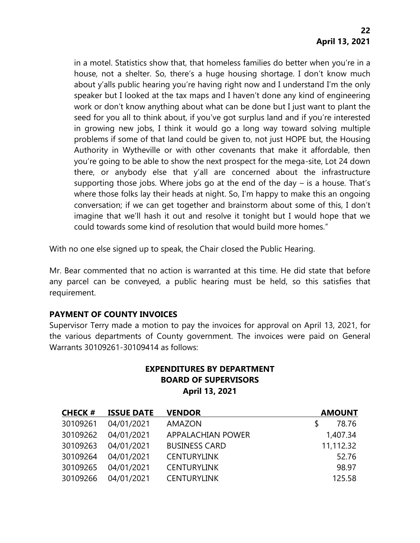in a motel. Statistics show that, that homeless families do better when you're in a house, not a shelter. So, there's a huge housing shortage. I don't know much about y'alls public hearing you're having right now and I understand I'm the only speaker but I looked at the tax maps and I haven't done any kind of engineering work or don't know anything about what can be done but I just want to plant the seed for you all to think about, if you've got surplus land and if you're interested in growing new jobs, I think it would go a long way toward solving multiple problems if some of that land could be given to, not just HOPE but, the Housing Authority in Wytheville or with other covenants that make it affordable, then you're going to be able to show the next prospect for the mega-site, Lot 24 down there, or anybody else that y'all are concerned about the infrastructure supporting those jobs. Where jobs go at the end of the day – is a house. That's where those folks lay their heads at night. So, I'm happy to make this an ongoing conversation; if we can get together and brainstorm about some of this, I don't imagine that we'll hash it out and resolve it tonight but I would hope that we could towards some kind of resolution that would build more homes."

With no one else signed up to speak, the Chair closed the Public Hearing.

Mr. Bear commented that no action is warranted at this time. He did state that before any parcel can be conveyed, a public hearing must be held, so this satisfies that requirement.

# **PAYMENT OF COUNTY INVOICES**

Supervisor Terry made a motion to pay the invoices for approval on April 13, 2021, for the various departments of County government. The invoices were paid on General Warrants 30109261-30109414 as follows:

# **EXPENDITURES BY DEPARTMENT BOARD OF SUPERVISORS April 13, 2021**

| <b>CHECK#</b> | <b>ISSUE DATE</b> | <b>VENDOR</b>        | <b>AMOUNT</b> |
|---------------|-------------------|----------------------|---------------|
| 30109261      | 04/01/2021        | <b>AMAZON</b>        | 78.76         |
| 30109262      | 04/01/2021        | APPALACHIAN POWER    | 1,407.34      |
| 30109263      | 04/01/2021        | <b>BUSINESS CARD</b> | 11,112.32     |
| 30109264      | 04/01/2021        | <b>CENTURYLINK</b>   | 52.76         |
| 30109265      | 04/01/2021        | <b>CENTURYLINK</b>   | 98.97         |
| 30109266      | 04/01/2021        | <b>CENTURYLINK</b>   | 125.58        |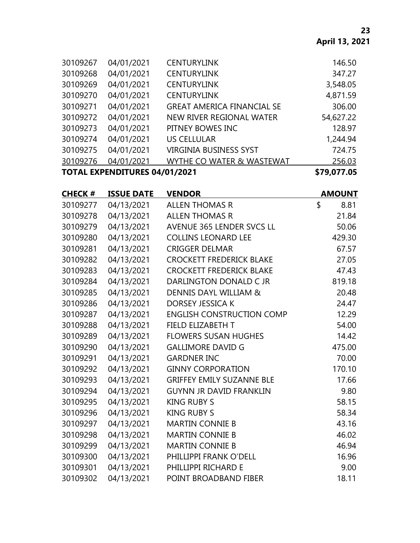| <b>TOTAL EXPENDITURES 04/01/2021</b> |          |            | \$79,077.05                       |           |
|--------------------------------------|----------|------------|-----------------------------------|-----------|
|                                      | 30109276 | 04/01/2021 | WYTHE CO WATER & WASTEWAT         | 256.03    |
|                                      | 30109275 | 04/01/2021 | <b>VIRGINIA BUSINESS SYST</b>     | 724.75    |
|                                      | 30109274 | 04/01/2021 | <b>US CELLULAR</b>                | 1,244.94  |
|                                      | 30109273 | 04/01/2021 | PITNEY BOWES INC                  | 128.97    |
|                                      | 30109272 | 04/01/2021 | NEW RIVER REGIONAL WATER          | 54,627.22 |
|                                      | 30109271 | 04/01/2021 | <b>GREAT AMERICA FINANCIAL SE</b> | 306.00    |
|                                      | 30109270 | 04/01/2021 | <b>CENTURYLINK</b>                | 4,871.59  |
|                                      | 30109269 | 04/01/2021 | <b>CENTURYLINK</b>                | 3,548.05  |
|                                      | 30109268 | 04/01/2021 | <b>CENTURYLINK</b>                | 347.27    |
|                                      | 30109267 | 04/01/2021 | <b>CENTURYLINK</b>                | 146.50    |
|                                      |          |            |                                   |           |

| <b>CHECK#</b> | <b>ISSUE DATE</b> | <b>VENDOR</b>                    | <b>AMOUNT</b> |
|---------------|-------------------|----------------------------------|---------------|
| 30109277      | 04/13/2021        | <b>ALLEN THOMAS R</b>            | \$<br>8.81    |
| 30109278      | 04/13/2021        | <b>ALLEN THOMAS R</b>            | 21.84         |
| 30109279      | 04/13/2021        | AVENUE 365 LENDER SVCS LL        | 50.06         |
| 30109280      | 04/13/2021        | <b>COLLINS LEONARD LEE</b>       | 429.30        |
| 30109281      | 04/13/2021        | <b>CRIGGER DELMAR</b>            | 67.57         |
| 30109282      | 04/13/2021        | <b>CROCKETT FREDERICK BLAKE</b>  | 27.05         |
| 30109283      | 04/13/2021        | <b>CROCKETT FREDERICK BLAKE</b>  | 47.43         |
| 30109284      | 04/13/2021        | DARLINGTON DONALD C JR           | 819.18        |
| 30109285      | 04/13/2021        | DENNIS DAYL WILLIAM &            | 20.48         |
| 30109286      | 04/13/2021        | <b>DORSEY JESSICA K</b>          | 24.47         |
| 30109287      | 04/13/2021        | <b>ENGLISH CONSTRUCTION COMP</b> | 12.29         |
| 30109288      | 04/13/2021        | FIELD ELIZABETH T                | 54.00         |
| 30109289      | 04/13/2021        | <b>FLOWERS SUSAN HUGHES</b>      | 14.42         |
| 30109290      | 04/13/2021        | <b>GALLIMORE DAVID G</b>         | 475.00        |
| 30109291      | 04/13/2021        | <b>GARDNER INC</b>               | 70.00         |
| 30109292      | 04/13/2021        | <b>GINNY CORPORATION</b>         | 170.10        |
| 30109293      | 04/13/2021        | <b>GRIFFEY EMILY SUZANNE BLE</b> | 17.66         |
| 30109294      | 04/13/2021        | <b>GUYNN JR DAVID FRANKLIN</b>   | 9.80          |
| 30109295      | 04/13/2021        | <b>KING RUBY S</b>               | 58.15         |
| 30109296      | 04/13/2021        | <b>KING RUBY S</b>               | 58.34         |
| 30109297      | 04/13/2021        | <b>MARTIN CONNIE B</b>           | 43.16         |
| 30109298      | 04/13/2021        | <b>MARTIN CONNIE B</b>           | 46.02         |
| 30109299      | 04/13/2021        | <b>MARTIN CONNIE B</b>           | 46.94         |
| 30109300      | 04/13/2021        | PHILLIPPI FRANK O'DELL           | 16.96         |
| 30109301      | 04/13/2021        | PHILLIPPI RICHARD E              | 9.00          |
| 30109302      | 04/13/2021        | POINT BROADBAND FIBER            | 18.11         |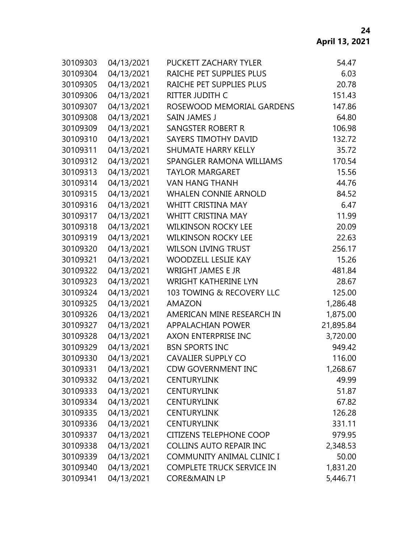| 30109303 | 04/13/2021 | PUCKETT ZACHARY TYLER            | 54.47     |
|----------|------------|----------------------------------|-----------|
| 30109304 | 04/13/2021 | RAICHE PET SUPPLIES PLUS         | 6.03      |
| 30109305 | 04/13/2021 | RAICHE PET SUPPLIES PLUS         | 20.78     |
| 30109306 | 04/13/2021 | RITTER JUDITH C                  | 151.43    |
| 30109307 | 04/13/2021 | ROSEWOOD MEMORIAL GARDENS        | 147.86    |
| 30109308 | 04/13/2021 | <b>SAIN JAMES J</b>              | 64.80     |
| 30109309 | 04/13/2021 | <b>SANGSTER ROBERT R</b>         | 106.98    |
| 30109310 | 04/13/2021 | <b>SAYERS TIMOTHY DAVID</b>      | 132.72    |
| 30109311 | 04/13/2021 | <b>SHUMATE HARRY KELLY</b>       | 35.72     |
| 30109312 | 04/13/2021 | SPANGLER RAMONA WILLIAMS         | 170.54    |
| 30109313 | 04/13/2021 | <b>TAYLOR MARGARET</b>           | 15.56     |
| 30109314 | 04/13/2021 | <b>VAN HANG THANH</b>            | 44.76     |
| 30109315 | 04/13/2021 | <b>WHALEN CONNIE ARNOLD</b>      | 84.52     |
| 30109316 | 04/13/2021 | <b>WHITT CRISTINA MAY</b>        | 6.47      |
| 30109317 | 04/13/2021 | <b>WHITT CRISTINA MAY</b>        | 11.99     |
| 30109318 | 04/13/2021 | <b>WILKINSON ROCKY LEE</b>       | 20.09     |
| 30109319 | 04/13/2021 | <b>WILKINSON ROCKY LEE</b>       | 22.63     |
| 30109320 | 04/13/2021 | <b>WILSON LIVING TRUST</b>       | 256.17    |
| 30109321 | 04/13/2021 | <b>WOODZELL LESLIE KAY</b>       | 15.26     |
| 30109322 | 04/13/2021 | <b>WRIGHT JAMES E JR</b>         | 481.84    |
| 30109323 | 04/13/2021 | <b>WRIGHT KATHERINE LYN</b>      | 28.67     |
| 30109324 | 04/13/2021 | 103 TOWING & RECOVERY LLC        | 125.00    |
| 30109325 | 04/13/2021 | <b>AMAZON</b>                    | 1,286.48  |
| 30109326 | 04/13/2021 | AMERICAN MINE RESEARCH IN        | 1,875.00  |
| 30109327 | 04/13/2021 | <b>APPALACHIAN POWER</b>         | 21,895.84 |
| 30109328 | 04/13/2021 | AXON ENTERPRISE INC              | 3,720.00  |
| 30109329 | 04/13/2021 | <b>BSN SPORTS INC</b>            | 949.42    |
| 30109330 | 04/13/2021 | <b>CAVALIER SUPPLY CO</b>        | 116.00    |
| 30109331 | 04/13/2021 | <b>CDW GOVERNMENT INC</b>        | 1,268.67  |
| 30109332 | 04/13/2021 | <b>CENTURYLINK</b>               | 49.99     |
| 30109333 | 04/13/2021 | <b>CENTURYLINK</b>               | 51.87     |
| 30109334 | 04/13/2021 | <b>CENTURYLINK</b>               | 67.82     |
| 30109335 | 04/13/2021 | <b>CENTURYLINK</b>               | 126.28    |
| 30109336 | 04/13/2021 | <b>CENTURYLINK</b>               | 331.11    |
| 30109337 | 04/13/2021 | <b>CITIZENS TELEPHONE COOP</b>   | 979.95    |
| 30109338 | 04/13/2021 | <b>COLLINS AUTO REPAIR INC</b>   | 2,348.53  |
| 30109339 | 04/13/2021 | <b>COMMUNITY ANIMAL CLINIC I</b> | 50.00     |
| 30109340 | 04/13/2021 | <b>COMPLETE TRUCK SERVICE IN</b> | 1,831.20  |
| 30109341 | 04/13/2021 | <b>CORE&amp;MAIN LP</b>          | 5,446.71  |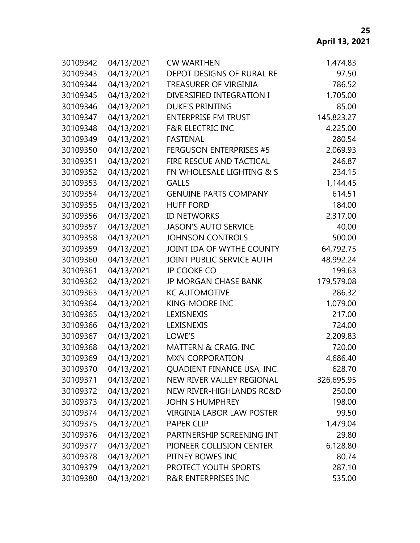| 30109342 | 04/13/2021 | <b>CW WARTHEN</b>                   | 1,474.83   |
|----------|------------|-------------------------------------|------------|
| 30109343 | 04/13/2021 | DEPOT DESIGNS OF RURAL RE           | 97.50      |
| 30109344 | 04/13/2021 | TREASURER OF VIRGINIA               | 786.52     |
| 30109345 | 04/13/2021 | DIVERSIFIED INTEGRATION I           | 1,705.00   |
| 30109346 | 04/13/2021 | <b>DUKE'S PRINTING</b>              | 85.00      |
| 30109347 | 04/13/2021 | <b>ENTERPRISE FM TRUST</b>          | 145,823.27 |
| 30109348 | 04/13/2021 | <b>F&amp;R ELECTRIC INC</b>         | 4,225.00   |
| 30109349 | 04/13/2021 | <b>FASTENAL</b>                     | 280.54     |
| 30109350 | 04/13/2021 | <b>FERGUSON ENTERPRISES #5</b>      | 2,069.93   |
| 30109351 | 04/13/2021 | FIRE RESCUE AND TACTICAL            | 246.87     |
| 30109352 | 04/13/2021 | FN WHOLESALE LIGHTING & S           | 234.15     |
| 30109353 | 04/13/2021 | <b>GALLS</b>                        | 1,144.45   |
| 30109354 | 04/13/2021 | <b>GENUINE PARTS COMPANY</b>        | 614.51     |
| 30109355 | 04/13/2021 | <b>HUFF FORD</b>                    | 184.00     |
| 30109356 | 04/13/2021 | <b>ID NETWORKS</b>                  | 2,317.00   |
| 30109357 | 04/13/2021 | <b>JASON'S AUTO SERVICE</b>         | 40.00      |
| 30109358 | 04/13/2021 | <b>JOHNSON CONTROLS</b>             | 500.00     |
| 30109359 | 04/13/2021 | JOINT IDA OF WYTHE COUNTY           | 64,792.75  |
| 30109360 | 04/13/2021 | JOINT PUBLIC SERVICE AUTH           | 48,992.24  |
| 30109361 | 04/13/2021 | <b>JP COOKE CO</b>                  | 199.63     |
| 30109362 | 04/13/2021 | <b>JP MORGAN CHASE BANK</b>         | 179,579.08 |
| 30109363 | 04/13/2021 | <b>KC AUTOMOTIVE</b>                | 286.32     |
| 30109364 | 04/13/2021 | <b>KING-MOORE INC</b>               | 1,079.00   |
| 30109365 | 04/13/2021 | LEXISNEXIS                          | 217.00     |
| 30109366 | 04/13/2021 | LEXISNEXIS                          | 724.00     |
| 30109367 | 04/13/2021 | LOWE'S                              | 2,209.83   |
| 30109368 | 04/13/2021 | <b>MATTERN &amp; CRAIG, INC</b>     | 720.00     |
| 30109369 | 04/13/2021 | <b>MXN CORPORATION</b>              | 4,686.40   |
| 30109370 | 04/13/2021 | QUADIENT FINANCE USA, INC           | 628.70     |
| 30109371 | 04/13/2021 | NEW RIVER VALLEY REGIONAL           | 326,695.95 |
| 30109372 | 04/13/2021 | <b>NEW RIVER-HIGHLANDS RC&amp;D</b> | 250.00     |
| 30109373 | 04/13/2021 | <b>JOHN S HUMPHREY</b>              | 198.00     |
| 30109374 | 04/13/2021 | <b>VIRGINIA LABOR LAW POSTER</b>    | 99.50      |
| 30109375 | 04/13/2021 | <b>PAPER CLIP</b>                   | 1,479.04   |
| 30109376 | 04/13/2021 | PARTNERSHIP SCREENING INT           | 29.80      |
| 30109377 | 04/13/2021 | PIONEER COLLISION CENTER            | 6,128.80   |
| 30109378 | 04/13/2021 | PITNEY BOWES INC                    | 80.74      |
| 30109379 | 04/13/2021 | PROTECT YOUTH SPORTS                | 287.10     |
| 30109380 | 04/13/2021 | <b>R&amp;R ENTERPRISES INC</b>      | 535.00     |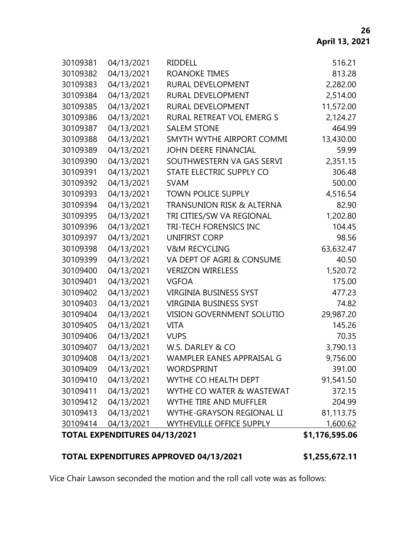|          | TOTAL EXPENDITURES 04/13/2021 |                                  | \$1,176,595.06 |
|----------|-------------------------------|----------------------------------|----------------|
| 30109414 | 04/13/2021                    | <b>WYTHEVILLE OFFICE SUPPLY</b>  | 1,600.62       |
| 30109413 | 04/13/2021                    | WYTHE-GRAYSON REGIONAL LI        | 81,113.75      |
| 30109412 | 04/13/2021                    | <b>WYTHE TIRE AND MUFFLER</b>    | 204.99         |
| 30109411 | 04/13/2021                    | WYTHE CO WATER & WASTEWAT        | 372.15         |
| 30109410 | 04/13/2021                    | WYTHE CO HEALTH DEPT             | 91,541.50      |
| 30109409 | 04/13/2021                    | <b>WORDSPRINT</b>                | 391.00         |
| 30109408 | 04/13/2021                    | WAMPLER EANES APPRAISAL G        | 9,756.00       |
| 30109407 | 04/13/2021                    | W.S. DARLEY & CO                 | 3,790.13       |
| 30109406 | 04/13/2021                    | <b>VUPS</b>                      | 70.35          |
| 30109405 | 04/13/2021                    | <b>VITA</b>                      | 145.26         |
| 30109404 | 04/13/2021                    | <b>VISION GOVERNMENT SOLUTIO</b> | 29,987.20      |
| 30109403 | 04/13/2021                    | <b>VIRGINIA BUSINESS SYST</b>    | 74.82          |
| 30109402 | 04/13/2021                    | <b>VIRGINIA BUSINESS SYST</b>    | 477.23         |
| 30109401 | 04/13/2021                    | <b>VGFOA</b>                     | 175.00         |
| 30109400 | 04/13/2021                    | <b>VERIZON WIRELESS</b>          | 1,520.72       |
| 30109399 | 04/13/2021                    | VA DEPT OF AGRI & CONSUME        | 40.50          |
| 30109398 | 04/13/2021                    | <b>V&amp;M RECYCLING</b>         | 63,632.47      |
| 30109397 | 04/13/2021                    | <b>UNIFIRST CORP</b>             | 98.56          |
| 30109396 | 04/13/2021                    | TRI-TECH FORENSICS INC           | 104.45         |
| 30109395 | 04/13/2021                    | TRI CITIES/SW VA REGIONAL        | 1,202.80       |
| 30109394 | 04/13/2021                    | TRANSUNION RISK & ALTERNA        | 82.90          |
| 30109393 | 04/13/2021                    | <b>TOWN POLICE SUPPLY</b>        | 4,516.54       |
| 30109392 | 04/13/2021                    | <b>SVAM</b>                      | 500.00         |
| 30109391 | 04/13/2021                    | STATE ELECTRIC SUPPLY CO         | 306.48         |
| 30109390 | 04/13/2021                    | SOUTHWESTERN VA GAS SERVI        | 2,351.15       |
| 30109389 | 04/13/2021                    | <b>JOHN DEERE FINANCIAL</b>      | 59.99          |
| 30109388 | 04/13/2021                    | SMYTH WYTHE AIRPORT COMMI        | 13,430.00      |
| 30109387 | 04/13/2021                    | <b>SALEM STONE</b>               | 464.99         |
| 30109386 | 04/13/2021                    | RURAL RETREAT VOL EMERG S        | 2,124.27       |
| 30109385 | 04/13/2021                    | RURAL DEVELOPMENT                | 11,572.00      |
| 30109384 | 04/13/2021                    | RURAL DEVELOPMENT                | 2,514.00       |
| 30109383 | 04/13/2021                    | RURAL DEVELOPMENT                | 2,282.00       |
| 30109382 | 04/13/2021                    | <b>ROANOKE TIMES</b>             | 813.28         |
| 30109381 | 04/13/2021                    | <b>RIDDELL</b>                   | 516.21         |

# **TOTAL EXPENDITURES APPROVED 04/13/2021 \$1,255,672.11**

Vice Chair Lawson seconded the motion and the roll call vote was as follows: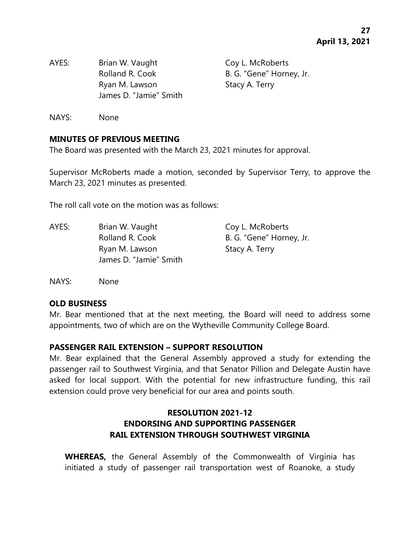AYES: Brian W. Vaught Coy L. McRoberts Rolland R. Cook B. G. "Gene" Horney, Jr. Ryan M. Lawson Stacy A. Terry James D. "Jamie" Smith

NAYS: None

#### **MINUTES OF PREVIOUS MEETING**

The Board was presented with the March 23, 2021 minutes for approval.

Supervisor McRoberts made a motion, seconded by Supervisor Terry, to approve the March 23, 2021 minutes as presented.

The roll call vote on the motion was as follows:

AYES: Brian W. Vaught Coy L. McRoberts Rolland R. Cook B. G. "Gene" Horney, Jr. Ryan M. Lawson Stacy A. Terry James D. "Jamie" Smith

NAYS: None

#### **OLD BUSINESS**

Mr. Bear mentioned that at the next meeting, the Board will need to address some appointments, two of which are on the Wytheville Community College Board.

#### **PASSENGER RAIL EXTENSION – SUPPORT RESOLUTION**

Mr. Bear explained that the General Assembly approved a study for extending the passenger rail to Southwest Virginia, and that Senator Pillion and Delegate Austin have asked for local support. With the potential for new infrastructure funding, this rail extension could prove very beneficial for our area and points south.

# **RESOLUTION 2021-12 ENDORSING AND SUPPORTING PASSENGER RAIL EXTENSION THROUGH SOUTHWEST VIRGINIA**

**WHEREAS,** the General Assembly of the Commonwealth of Virginia has initiated a study of passenger rail transportation west of Roanoke, a study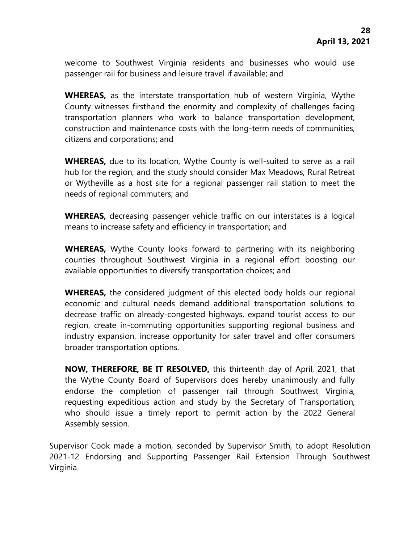welcome to Southwest Virginia residents and businesses who would use passenger rail for business and leisure travel if available; and

**WHEREAS,** as the interstate transportation hub of western Virginia, Wythe County witnesses firsthand the enormity and complexity of challenges facing transportation planners who work to balance transportation development, construction and maintenance costs with the long-term needs of communities, citizens and corporations; and

**WHEREAS,** due to its location, Wythe County is well-suited to serve as a rail hub for the region, and the study should consider Max Meadows, Rural Retreat or Wytheville as a host site for a regional passenger rail station to meet the needs of regional commuters; and

**WHEREAS,** decreasing passenger vehicle traffic on our interstates is a logical means to increase safety and efficiency in transportation; and

**WHEREAS,** Wythe County looks forward to partnering with its neighboring counties throughout Southwest Virginia in a regional effort boosting our available opportunities to diversify transportation choices; and

**WHEREAS,** the considered judgment of this elected body holds our regional economic and cultural needs demand additional transportation solutions to decrease traffic on already-congested highways, expand tourist access to our region, create in-commuting opportunities supporting regional business and industry expansion, increase opportunity for safer travel and offer consumers broader transportation options.

**NOW, THEREFORE, BE IT RESOLVED,** this thirteenth day of April, 2021, that the Wythe County Board of Supervisors does hereby unanimously and fully endorse the completion of passenger rail through Southwest Virginia, requesting expeditious action and study by the Secretary of Transportation, who should issue a timely report to permit action by the 2022 General Assembly session.

Supervisor Cook made a motion, seconded by Supervisor Smith, to adopt Resolution 2021-12 Endorsing and Supporting Passenger Rail Extension Through Southwest Virginia.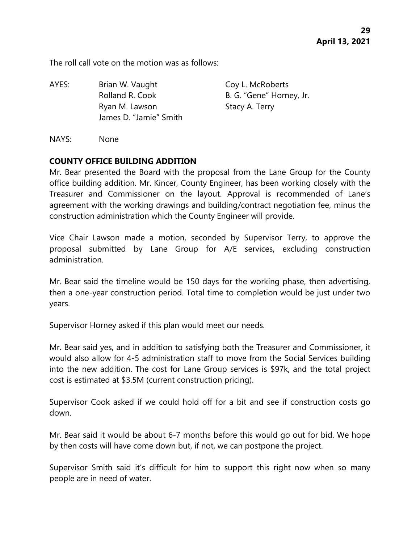The roll call vote on the motion was as follows:

AYES: Brian W. Vaught Coy L. McRoberts Rolland R. Cook B. G. "Gene" Horney, Jr. Ryan M. Lawson Stacy A. Terry James D. "Jamie" Smith

NAYS: None

#### **COUNTY OFFICE BUILDING ADDITION**

Mr. Bear presented the Board with the proposal from the Lane Group for the County office building addition. Mr. Kincer, County Engineer, has been working closely with the Treasurer and Commissioner on the layout. Approval is recommended of Lane's agreement with the working drawings and building/contract negotiation fee, minus the construction administration which the County Engineer will provide.

Vice Chair Lawson made a motion, seconded by Supervisor Terry, to approve the proposal submitted by Lane Group for A/E services, excluding construction administration.

Mr. Bear said the timeline would be 150 days for the working phase, then advertising, then a one-year construction period. Total time to completion would be just under two years.

Supervisor Horney asked if this plan would meet our needs.

Mr. Bear said yes, and in addition to satisfying both the Treasurer and Commissioner, it would also allow for 4-5 administration staff to move from the Social Services building into the new addition. The cost for Lane Group services is \$97k, and the total project cost is estimated at \$3.5M (current construction pricing).

Supervisor Cook asked if we could hold off for a bit and see if construction costs go down.

Mr. Bear said it would be about 6-7 months before this would go out for bid. We hope by then costs will have come down but, if not, we can postpone the project.

Supervisor Smith said it's difficult for him to support this right now when so many people are in need of water.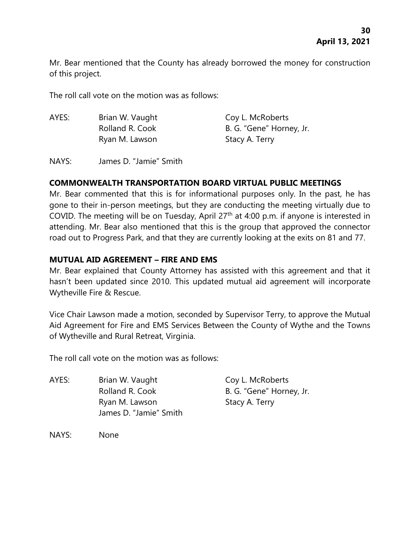Mr. Bear mentioned that the County has already borrowed the money for construction of this project.

The roll call vote on the motion was as follows:

| AYES: | Brian W. Vaught | Coy L. McRoberts         |
|-------|-----------------|--------------------------|
|       | Rolland R. Cook | B. G. "Gene" Horney, Jr. |
|       | Ryan M. Lawson  | Stacy A. Terry           |

NAYS: James D. "Jamie" Smith

# **COMMONWEALTH TRANSPORTATION BOARD VIRTUAL PUBLIC MEETINGS**

Mr. Bear commented that this is for informational purposes only. In the past, he has gone to their in-person meetings, but they are conducting the meeting virtually due to COVID. The meeting will be on Tuesday, April 27th at 4:00 p.m. if anyone is interested in attending. Mr. Bear also mentioned that this is the group that approved the connector road out to Progress Park, and that they are currently looking at the exits on 81 and 77.

#### **MUTUAL AID AGREEMENT – FIRE AND EMS**

Mr. Bear explained that County Attorney has assisted with this agreement and that it hasn't been updated since 2010. This updated mutual aid agreement will incorporate Wytheville Fire & Rescue.

Vice Chair Lawson made a motion, seconded by Supervisor Terry, to approve the Mutual Aid Agreement for Fire and EMS Services Between the County of Wythe and the Towns of Wytheville and Rural Retreat, Virginia.

The roll call vote on the motion was as follows:

AYES: Brian W. Vaught Coy L. McRoberts Rolland R. Cook B. G. "Gene" Horney, Jr. Ryan M. Lawson Stacy A. Terry James D. "Jamie" Smith

NAYS: None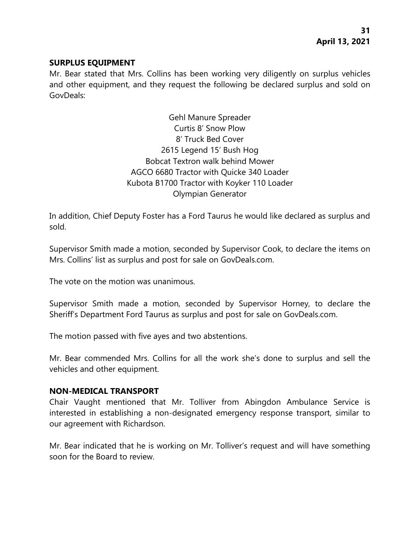#### **SURPLUS EQUIPMENT**

Mr. Bear stated that Mrs. Collins has been working very diligently on surplus vehicles and other equipment, and they request the following be declared surplus and sold on GovDeals:

> Gehl Manure Spreader Curtis 8' Snow Plow 8' Truck Bed Cover 2615 Legend 15' Bush Hog Bobcat Textron walk behind Mower AGCO 6680 Tractor with Quicke 340 Loader Kubota B1700 Tractor with Koyker 110 Loader Olympian Generator

In addition, Chief Deputy Foster has a Ford Taurus he would like declared as surplus and sold.

Supervisor Smith made a motion, seconded by Supervisor Cook, to declare the items on Mrs. Collins' list as surplus and post for sale on GovDeals.com.

The vote on the motion was unanimous.

Supervisor Smith made a motion, seconded by Supervisor Horney, to declare the Sheriff's Department Ford Taurus as surplus and post for sale on GovDeals.com.

The motion passed with five ayes and two abstentions.

Mr. Bear commended Mrs. Collins for all the work she's done to surplus and sell the vehicles and other equipment.

#### **NON-MEDICAL TRANSPORT**

Chair Vaught mentioned that Mr. Tolliver from Abingdon Ambulance Service is interested in establishing a non-designated emergency response transport, similar to our agreement with Richardson.

Mr. Bear indicated that he is working on Mr. Tolliver's request and will have something soon for the Board to review.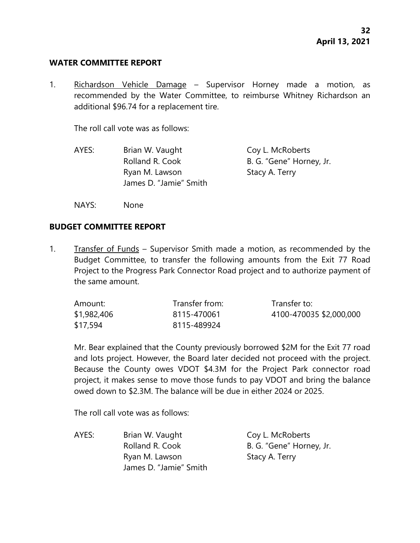#### **WATER COMMITTEE REPORT**

1. Richardson Vehicle Damage – Supervisor Horney made a motion, as recommended by the Water Committee, to reimburse Whitney Richardson an additional \$96.74 for a replacement tire.

The roll call vote was as follows:

- AYES: Brian W. Vaught Coy L. McRoberts Rolland R. Cook B. G. "Gene" Horney, Jr. Ryan M. Lawson Stacy A. Terry James D. "Jamie" Smith
- NAYS: None

#### **BUDGET COMMITTEE REPORT**

1. Transfer of Funds – Supervisor Smith made a motion, as recommended by the Budget Committee, to transfer the following amounts from the Exit 77 Road Project to the Progress Park Connector Road project and to authorize payment of the same amount.

| Amount:     | Transfer from: | Transfer to:            |
|-------------|----------------|-------------------------|
| \$1,982,406 | 8115-470061    | 4100-470035 \$2,000,000 |
| \$17,594    | 8115-489924    |                         |

Mr. Bear explained that the County previously borrowed \$2M for the Exit 77 road and lots project. However, the Board later decided not proceed with the project. Because the County owes VDOT \$4.3M for the Project Park connector road project, it makes sense to move those funds to pay VDOT and bring the balance owed down to \$2.3M. The balance will be due in either 2024 or 2025.

The roll call vote was as follows:

AYES: Brian W. Vaught Coy L. McRoberts Rolland R. Cook B. G. "Gene" Horney, Jr. Ryan M. Lawson Stacy A. Terry James D. "Jamie" Smith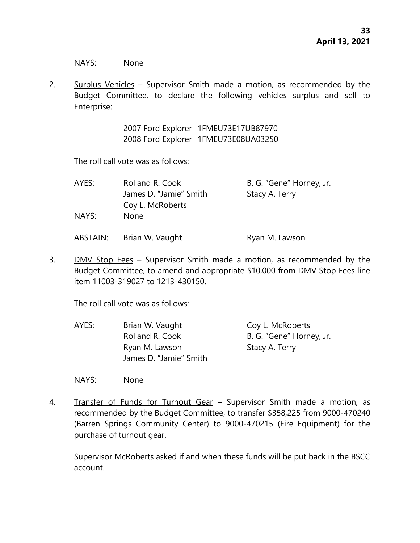NAYS: None

2. Surplus Vehicles – Supervisor Smith made a motion, as recommended by the Budget Committee, to declare the following vehicles surplus and sell to Enterprise:

> 2007 Ford Explorer 1FMEU73E17UB87970 2008 Ford Explorer 1FMEU73E08UA03250

The roll call vote was as follows:

| AYES:    | Rolland R. Cook        | B. G. "Gene" Horney, Jr. |
|----------|------------------------|--------------------------|
|          | James D. "Jamie" Smith | Stacy A. Terry           |
|          | Coy L. McRoberts       |                          |
| NAYS:    | <b>None</b>            |                          |
| ABSTAIN: | Brian W. Vaught        | Ryan M. Lawson           |

3. DMV Stop Fees – Supervisor Smith made a motion, as recommended by the Budget Committee, to amend and appropriate \$10,000 from DMV Stop Fees line item 11003-319027 to 1213-430150.

The roll call vote was as follows:

AYES: Brian W. Vaught Coy L. McRoberts Rolland R. Cook B. G. "Gene" Horney, Jr. Ryan M. Lawson Stacy A. Terry James D. "Jamie" Smith

NAYS: None

4. Transfer of Funds for Turnout Gear – Supervisor Smith made a motion, as recommended by the Budget Committee, to transfer \$358,225 from 9000-470240 (Barren Springs Community Center) to 9000-470215 (Fire Equipment) for the purchase of turnout gear.

Supervisor McRoberts asked if and when these funds will be put back in the BSCC account.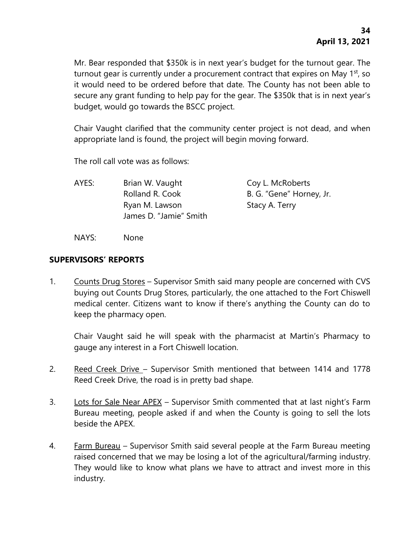Mr. Bear responded that \$350k is in next year's budget for the turnout gear. The turnout gear is currently under a procurement contract that expires on May 1<sup>st</sup>, so it would need to be ordered before that date. The County has not been able to secure any grant funding to help pay for the gear. The \$350k that is in next year's budget, would go towards the BSCC project.

Chair Vaught clarified that the community center project is not dead, and when appropriate land is found, the project will begin moving forward.

The roll call vote was as follows:

AYES: Brian W. Vaught Coy L. McRoberts Rolland R. Cook B. G. "Gene" Horney, Jr. Ryan M. Lawson Stacy A. Terry James D. "Jamie" Smith

NAYS: None

#### **SUPERVISORS' REPORTS**

1. Counts Drug Stores – Supervisor Smith said many people are concerned with CVS buying out Counts Drug Stores, particularly, the one attached to the Fort Chiswell medical center. Citizens want to know if there's anything the County can do to keep the pharmacy open.

Chair Vaught said he will speak with the pharmacist at Martin's Pharmacy to gauge any interest in a Fort Chiswell location.

- 2. Reed Creek Drive Supervisor Smith mentioned that between 1414 and 1778 Reed Creek Drive, the road is in pretty bad shape.
- 3. Lots for Sale Near APEX Supervisor Smith commented that at last night's Farm Bureau meeting, people asked if and when the County is going to sell the lots beside the APEX.
- 4. Farm Bureau Supervisor Smith said several people at the Farm Bureau meeting raised concerned that we may be losing a lot of the agricultural/farming industry. They would like to know what plans we have to attract and invest more in this industry.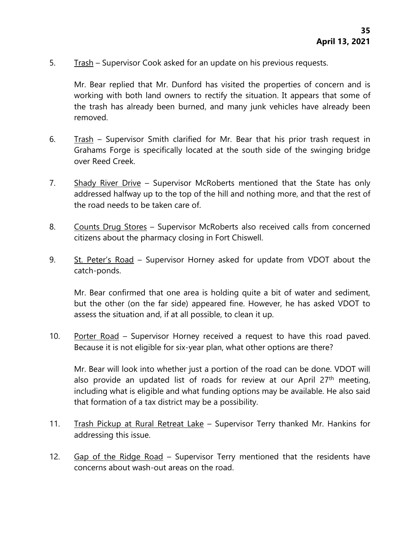5. Trash – Supervisor Cook asked for an update on his previous requests.

Mr. Bear replied that Mr. Dunford has visited the properties of concern and is working with both land owners to rectify the situation. It appears that some of the trash has already been burned, and many junk vehicles have already been removed.

- 6. Trash Supervisor Smith clarified for Mr. Bear that his prior trash request in Grahams Forge is specifically located at the south side of the swinging bridge over Reed Creek.
- 7. Shady River Drive Supervisor McRoberts mentioned that the State has only addressed halfway up to the top of the hill and nothing more, and that the rest of the road needs to be taken care of.
- 8. Counts Drug Stores Supervisor McRoberts also received calls from concerned citizens about the pharmacy closing in Fort Chiswell.
- 9. St. Peter's Road Supervisor Horney asked for update from VDOT about the catch-ponds.

Mr. Bear confirmed that one area is holding quite a bit of water and sediment, but the other (on the far side) appeared fine. However, he has asked VDOT to assess the situation and, if at all possible, to clean it up.

10. Porter Road – Supervisor Horney received a request to have this road paved. Because it is not eligible for six-year plan, what other options are there?

Mr. Bear will look into whether just a portion of the road can be done. VDOT will also provide an updated list of roads for review at our April 27<sup>th</sup> meeting, including what is eligible and what funding options may be available. He also said that formation of a tax district may be a possibility.

- 11. Trash Pickup at Rural Retreat Lake Supervisor Terry thanked Mr. Hankins for addressing this issue.
- 12. Gap of the Ridge Road Supervisor Terry mentioned that the residents have concerns about wash-out areas on the road.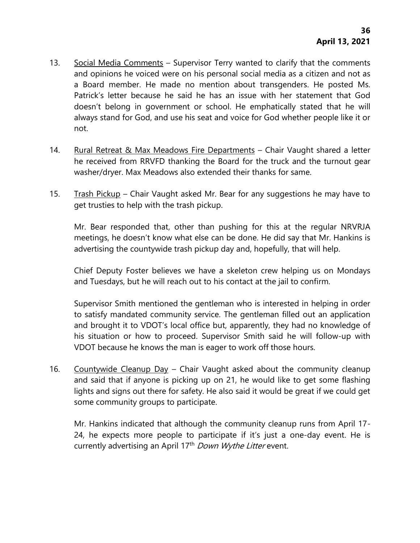- 13. Social Media Comments Supervisor Terry wanted to clarify that the comments and opinions he voiced were on his personal social media as a citizen and not as a Board member. He made no mention about transgenders. He posted Ms. Patrick's letter because he said he has an issue with her statement that God doesn't belong in government or school. He emphatically stated that he will always stand for God, and use his seat and voice for God whether people like it or not.
- 14. Rural Retreat & Max Meadows Fire Departments Chair Vaught shared a letter he received from RRVFD thanking the Board for the truck and the turnout gear washer/dryer. Max Meadows also extended their thanks for same.
- 15. Trash Pickup Chair Vaught asked Mr. Bear for any suggestions he may have to get trusties to help with the trash pickup.

Mr. Bear responded that, other than pushing for this at the regular NRVRJA meetings, he doesn't know what else can be done. He did say that Mr. Hankins is advertising the countywide trash pickup day and, hopefully, that will help.

Chief Deputy Foster believes we have a skeleton crew helping us on Mondays and Tuesdays, but he will reach out to his contact at the jail to confirm.

Supervisor Smith mentioned the gentleman who is interested in helping in order to satisfy mandated community service. The gentleman filled out an application and brought it to VDOT's local office but, apparently, they had no knowledge of his situation or how to proceed. Supervisor Smith said he will follow-up with VDOT because he knows the man is eager to work off those hours.

16. Countywide Cleanup Day - Chair Vaught asked about the community cleanup and said that if anyone is picking up on 21, he would like to get some flashing lights and signs out there for safety. He also said it would be great if we could get some community groups to participate.

Mr. Hankins indicated that although the community cleanup runs from April 17- 24, he expects more people to participate if it's just a one-day event. He is currently advertising an April 17<sup>th</sup> Down Wythe Litter event.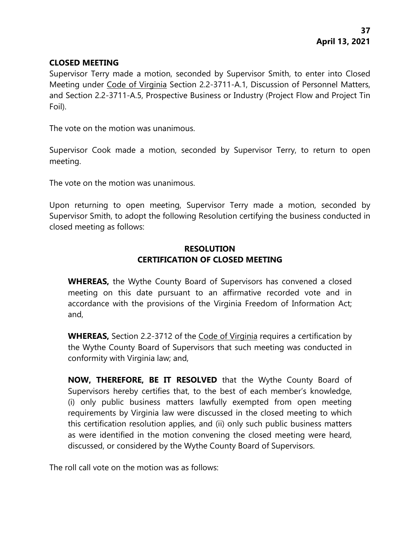# **CLOSED MEETING**

Supervisor Terry made a motion, seconded by Supervisor Smith, to enter into Closed Meeting under Code of Virginia Section 2.2-3711-A.1, Discussion of Personnel Matters, and Section 2.2-3711-A.5, Prospective Business or Industry (Project Flow and Project Tin Foil).

The vote on the motion was unanimous.

Supervisor Cook made a motion, seconded by Supervisor Terry, to return to open meeting.

The vote on the motion was unanimous.

Upon returning to open meeting, Supervisor Terry made a motion, seconded by Supervisor Smith, to adopt the following Resolution certifying the business conducted in closed meeting as follows:

# **RESOLUTION CERTIFICATION OF CLOSED MEETING**

**WHEREAS,** the Wythe County Board of Supervisors has convened a closed meeting on this date pursuant to an affirmative recorded vote and in accordance with the provisions of the Virginia Freedom of Information Act; and,

**WHEREAS,** Section 2.2-3712 of the Code of Virginia requires a certification by the Wythe County Board of Supervisors that such meeting was conducted in conformity with Virginia law; and,

**NOW, THEREFORE, BE IT RESOLVED** that the Wythe County Board of Supervisors hereby certifies that, to the best of each member's knowledge, (i) only public business matters lawfully exempted from open meeting requirements by Virginia law were discussed in the closed meeting to which this certification resolution applies, and (ii) only such public business matters as were identified in the motion convening the closed meeting were heard, discussed, or considered by the Wythe County Board of Supervisors.

The roll call vote on the motion was as follows: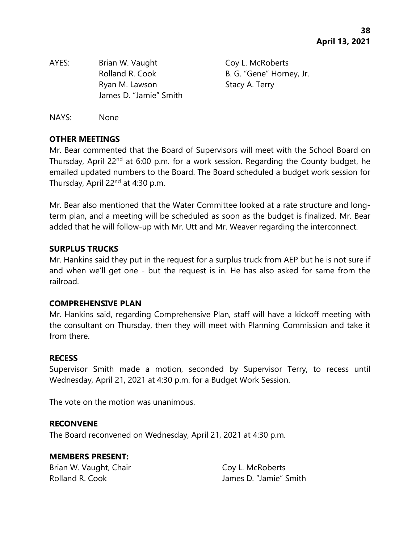AYES: Brian W. Vaught Coy L. McRoberts Rolland R. Cook B. G. "Gene" Horney, Jr. Ryan M. Lawson Stacy A. Terry James D. "Jamie" Smith

NAYS: None

# **OTHER MEETINGS**

Mr. Bear commented that the Board of Supervisors will meet with the School Board on Thursday, April 22<sup>nd</sup> at 6:00 p.m. for a work session. Regarding the County budget, he emailed updated numbers to the Board. The Board scheduled a budget work session for Thursday, April 22nd at 4:30 p.m.

Mr. Bear also mentioned that the Water Committee looked at a rate structure and longterm plan, and a meeting will be scheduled as soon as the budget is finalized. Mr. Bear added that he will follow-up with Mr. Utt and Mr. Weaver regarding the interconnect.

# **SURPLUS TRUCKS**

Mr. Hankins said they put in the request for a surplus truck from AEP but he is not sure if and when we'll get one - but the request is in. He has also asked for same from the railroad.

# **COMPREHENSIVE PLAN**

Mr. Hankins said, regarding Comprehensive Plan, staff will have a kickoff meeting with the consultant on Thursday, then they will meet with Planning Commission and take it from there.

#### **RECESS**

Supervisor Smith made a motion, seconded by Supervisor Terry, to recess until Wednesday, April 21, 2021 at 4:30 p.m. for a Budget Work Session.

The vote on the motion was unanimous.

# **RECONVENE**

The Board reconvened on Wednesday, April 21, 2021 at 4:30 p.m.

#### **MEMBERS PRESENT:**

Brian W. Vaught, Chair Coy L. McRoberts

Rolland R. Cook **In the U. A. Cook** James D. "Jamie" Smith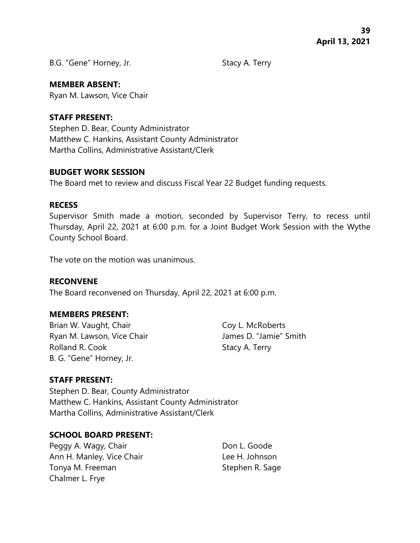B.G. "Gene" Horney, Jr. Stacy A. Terry

### **MEMBER ABSENT:**

Ryan M. Lawson, Vice Chair

### **STAFF PRESENT:**

Stephen D. Bear, County Administrator Matthew C. Hankins, Assistant County Administrator Martha Collins, Administrative Assistant/Clerk

#### **BUDGET WORK SESSION**

The Board met to review and discuss Fiscal Year 22 Budget funding requests.

#### **RECESS**

Supervisor Smith made a motion, seconded by Supervisor Terry, to recess until Thursday, April 22, 2021 at 6:00 p.m. for a Joint Budget Work Session with the Wythe County School Board.

The vote on the motion was unanimous.

# **RECONVENE**

The Board reconvened on Thursday, April 22, 2021 at 6:00 p.m.

# **MEMBERS PRESENT:**

Brian W. Vaught, Chair Coy L. McRoberts Ryan M. Lawson, Vice Chair **James D. "Jamie"** Smith Rolland R. Cook Stacy A. Terry B. G. "Gene" Horney, Jr.

# **STAFF PRESENT:**

Stephen D. Bear, County Administrator Matthew C. Hankins, Assistant County Administrator Martha Collins, Administrative Assistant/Clerk

# **SCHOOL BOARD PRESENT:**

Peggy A. Wagy, Chair **Don L. Goode** Ann H. Manley, Vice Chair **Lee H. Johnson** Tonya M. Freeman Stephen R. Sage Chalmer L. Frye